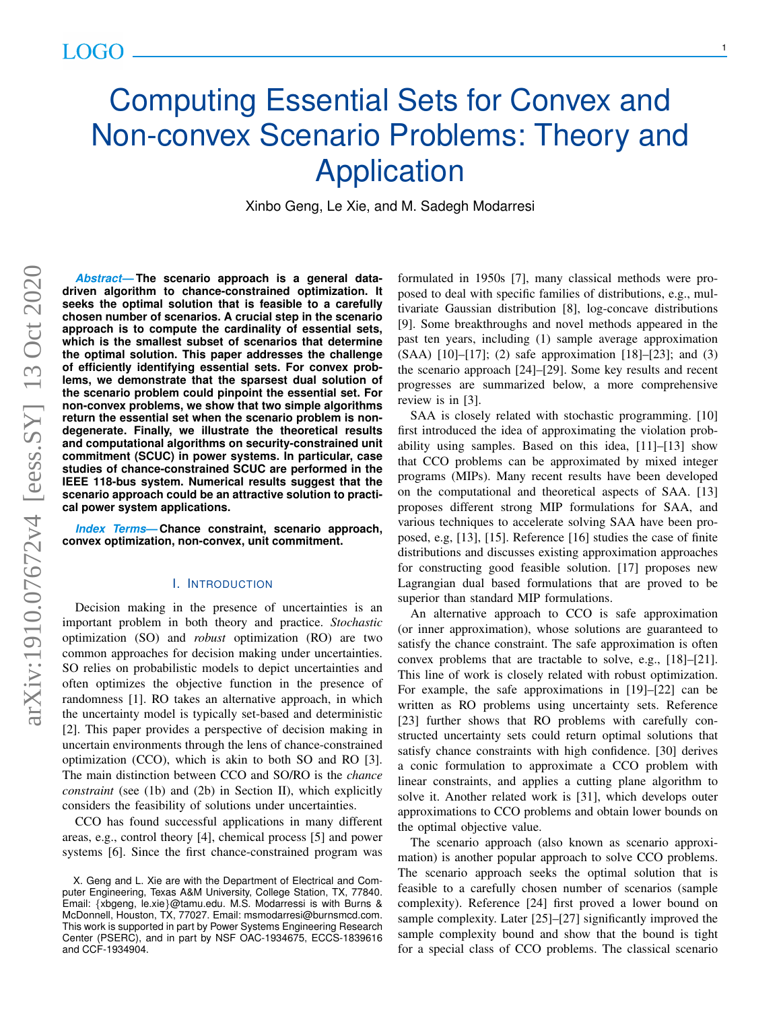# Computing Essential Sets for Convex and Non-convex Scenario Problems: Theory and **Application**

Xinbo Geng, Le Xie, and M. Sadegh Modarresi

*Abstract***— The scenario approach is a general datadriven algorithm to chance-constrained optimization. It seeks the optimal solution that is feasible to a carefully chosen number of scenarios. A crucial step in the scenario approach is to compute the cardinality of essential sets, which is the smallest subset of scenarios that determine the optimal solution. This paper addresses the challenge of efficiently identifying essential sets. For convex problems, we demonstrate that the sparsest dual solution of the scenario problem could pinpoint the essential set. For non-convex problems, we show that two simple algorithms return the essential set when the scenario problem is nondegenerate. Finally, we illustrate the theoretical results and computational algorithms on security-constrained unit commitment (SCUC) in power systems. In particular, case studies of chance-constrained SCUC are performed in the IEEE 118-bus system. Numerical results suggest that the scenario approach could be an attractive solution to practical power system applications.**

*Index Terms***— Chance constraint, scenario approach, convex optimization, non-convex, unit commitment.**

## I. INTRODUCTION

Decision making in the presence of uncertainties is an important problem in both theory and practice. *Stochastic* optimization (SO) and *robust* optimization (RO) are two common approaches for decision making under uncertainties. SO relies on probabilistic models to depict uncertainties and often optimizes the objective function in the presence of randomness [1]. RO takes an alternative approach, in which the uncertainty model is typically set-based and deterministic [2]. This paper provides a perspective of decision making in uncertain environments through the lens of chance-constrained optimization (CCO), which is akin to both SO and RO [3]. The main distinction between CCO and SO/RO is the *chance constraint* (see (1b) and (2b) in Section II), which explicitly considers the feasibility of solutions under uncertainties.

CCO has found successful applications in many different areas, e.g., control theory [4], chemical process [5] and power systems [6]. Since the first chance-constrained program was

formulated in 1950s [7], many classical methods were proposed to deal with specific families of distributions, e.g., multivariate Gaussian distribution [8], log-concave distributions [9]. Some breakthroughs and novel methods appeared in the past ten years, including (1) sample average approximation (SAA) [10]–[17]; (2) safe approximation [18]–[23]; and (3) the scenario approach [24]–[29]. Some key results and recent progresses are summarized below, a more comprehensive review is in [3].

SAA is closely related with stochastic programming. [10] first introduced the idea of approximating the violation probability using samples. Based on this idea, [11]–[13] show that CCO problems can be approximated by mixed integer programs (MIPs). Many recent results have been developed on the computational and theoretical aspects of SAA. [13] proposes different strong MIP formulations for SAA, and various techniques to accelerate solving SAA have been proposed, e.g, [13], [15]. Reference [16] studies the case of finite distributions and discusses existing approximation approaches for constructing good feasible solution. [17] proposes new Lagrangian dual based formulations that are proved to be superior than standard MIP formulations.

An alternative approach to CCO is safe approximation (or inner approximation), whose solutions are guaranteed to satisfy the chance constraint. The safe approximation is often convex problems that are tractable to solve, e.g., [18]–[21]. This line of work is closely related with robust optimization. For example, the safe approximations in [19]–[22] can be written as RO problems using uncertainty sets. Reference [23] further shows that RO problems with carefully constructed uncertainty sets could return optimal solutions that satisfy chance constraints with high confidence. [30] derives a conic formulation to approximate a CCO problem with linear constraints, and applies a cutting plane algorithm to solve it. Another related work is [31], which develops outer approximations to CCO problems and obtain lower bounds on the optimal objective value.

The scenario approach (also known as scenario approximation) is another popular approach to solve CCO problems. The scenario approach seeks the optimal solution that is feasible to a carefully chosen number of scenarios (sample complexity). Reference [24] first proved a lower bound on sample complexity. Later [25]–[27] significantly improved the sample complexity bound and show that the bound is tight for a special class of CCO problems. The classical scenario

1

X. Geng and L. Xie are with the Department of Electrical and Computer Engineering, Texas A&M University, College Station, TX, 77840. Email: {xbgeng, le.xie}@tamu.edu. M.S. Modarressi is with Burns & McDonnell, Houston, TX, 77027. Email: msmodarresi@burnsmcd.com. This work is supported in part by Power Systems Engineering Research Center (PSERC), and in part by NSF OAC-1934675, ECCS-1839616 and CCF-1934904.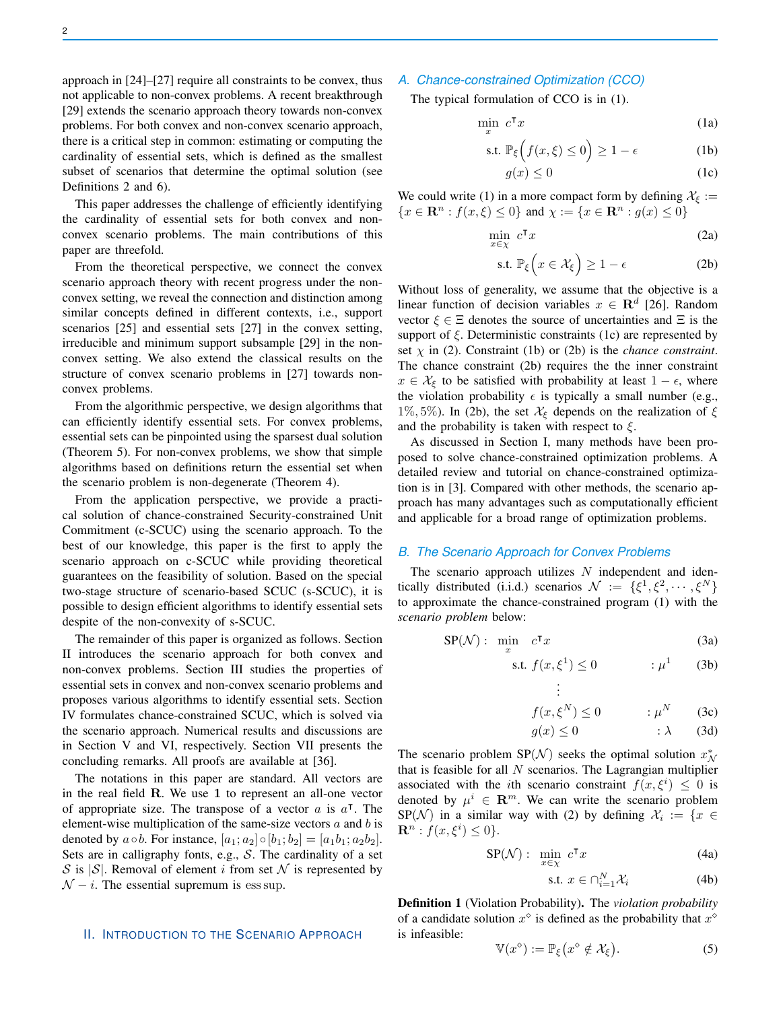approach in [24]–[27] require all constraints to be convex, thus not applicable to non-convex problems. A recent breakthrough [29] extends the scenario approach theory towards non-convex problems. For both convex and non-convex scenario approach, there is a critical step in common: estimating or computing the cardinality of essential sets, which is defined as the smallest subset of scenarios that determine the optimal solution (see Definitions 2 and 6).

This paper addresses the challenge of efficiently identifying the cardinality of essential sets for both convex and nonconvex scenario problems. The main contributions of this paper are threefold.

From the theoretical perspective, we connect the convex scenario approach theory with recent progress under the nonconvex setting, we reveal the connection and distinction among similar concepts defined in different contexts, i.e., support scenarios [25] and essential sets [27] in the convex setting, irreducible and minimum support subsample [29] in the nonconvex setting. We also extend the classical results on the structure of convex scenario problems in [27] towards nonconvex problems.

From the algorithmic perspective, we design algorithms that can efficiently identify essential sets. For convex problems, essential sets can be pinpointed using the sparsest dual solution (Theorem 5). For non-convex problems, we show that simple algorithms based on definitions return the essential set when the scenario problem is non-degenerate (Theorem 4).

From the application perspective, we provide a practical solution of chance-constrained Security-constrained Unit Commitment (c-SCUC) using the scenario approach. To the best of our knowledge, this paper is the first to apply the scenario approach on c-SCUC while providing theoretical guarantees on the feasibility of solution. Based on the special two-stage structure of scenario-based SCUC (s-SCUC), it is possible to design efficient algorithms to identify essential sets despite of the non-convexity of s-SCUC.

The remainder of this paper is organized as follows. Section II introduces the scenario approach for both convex and non-convex problems. Section III studies the properties of essential sets in convex and non-convex scenario problems and proposes various algorithms to identify essential sets. Section IV formulates chance-constrained SCUC, which is solved via the scenario approach. Numerical results and discussions are in Section V and VI, respectively. Section VII presents the concluding remarks. All proofs are available at [36].

The notations in this paper are standard. All vectors are in the real field R. We use 1 to represent an all-one vector of appropriate size. The transpose of a vector  $a$  is  $a^{\dagger}$ . The element-wise multiplication of the same-size vectors  $a$  and  $b$  is denoted by  $a \circ b$ . For instance,  $[a_1; a_2] \circ [b_1; b_2] = [a_1b_1; a_2b_2]$ . Sets are in calligraphy fonts, e.g.,  $S$ . The cardinality of a set S is  $|S|$ . Removal of element i from set N is represented by  $\mathcal{N} - i$ . The essential supremum is ess sup.

#### II. INTRODUCTION TO THE SCENARIO APPROACH

# *A. Chance-constrained Optimization (CCO)*

The typical formulation of CCO is in (1).

$$
\min_{x} c^{\mathsf{T}} x \tag{1a}
$$

$$
\text{s.t. } \mathbb{P}_{\xi} \left( f(x,\xi) \le 0 \right) \ge 1 - \epsilon \tag{1b}
$$

$$
g(x) \le 0 \tag{1c}
$$

We could write (1) in a more compact form by defining  $\mathcal{X}_{\xi}$  :=  ${x \in \mathbf{R}^n : f(x, \xi) \le 0}$  and  ${\chi := \{x \in \mathbf{R}^n : g(x) \le 0\}$ 

$$
\min_{x \in \chi} c^{\mathsf{T}} x \tag{2a}
$$

$$
\text{s.t. } \mathbb{P}_{\xi} \left( x \in \mathcal{X}_{\xi} \right) \ge 1 - \epsilon \tag{2b}
$$

Without loss of generality, we assume that the objective is a linear function of decision variables  $x \in \mathbb{R}^d$  [26]. Random vector  $\xi \in \Xi$  denotes the source of uncertainties and  $\Xi$  is the support of  $\xi$ . Deterministic constraints (1c) are represented by set  $\chi$  in (2). Constraint (1b) or (2b) is the *chance constraint*. The chance constraint (2b) requires the the inner constraint  $x \in \mathcal{X}_{\xi}$  to be satisfied with probability at least  $1 - \epsilon$ , where the violation probability  $\epsilon$  is typically a small number (e.g., 1%, 5%). In (2b), the set  $\mathcal{X}_{\xi}$  depends on the realization of  $\xi$ and the probability is taken with respect to  $\xi$ .

As discussed in Section I, many methods have been proposed to solve chance-constrained optimization problems. A detailed review and tutorial on chance-constrained optimization is in [3]. Compared with other methods, the scenario approach has many advantages such as computationally efficient and applicable for a broad range of optimization problems.

# *B. The Scenario Approach for Convex Problems*

The scenario approach utilizes  $N$  independent and identically distributed (i.i.d.) scenarios  $\mathcal{N} := \{\xi^1, \xi^2, \cdots, \xi^N\}$ to approximate the chance-constrained program (1) with the *scenario problem* below:

> . .

$$
SP(\mathcal{N}): \quad \min_{x} \quad c^{\mathsf{T}} x \tag{3a}
$$

$$
\text{s.t. } f(x, \xi^1) \le 0 \qquad \qquad : \mu^1 \qquad \text{(3b)}
$$

$$
\vdots
$$
  

$$
f(x,\xi^N) \le 0 \qquad \qquad : \mu^N \qquad (3c)
$$

$$
g(x) \le 0 \qquad \qquad : \lambda \qquad (3d)
$$

The scenario problem SP( $\mathcal{N}$ ) seeks the optimal solution  $x_{\mathcal{N}}^*$ that is feasible for all  $N$  scenarios. The Lagrangian multiplier associated with the *i*th scenario constraint  $f(x, \xi^i) \leq 0$  is denoted by  $\mu^i \in \mathbb{R}^m$ . We can write the scenario problem SP(N) in a similar way with (2) by defining  $\mathcal{X}_i := \{x \in$  $\mathbf{R}^n : f(x, \xi^i) \leq 0$ .

$$
SP(\mathcal{N}): \min_{x \in \chi} c^{\mathsf{T}} x \tag{4a}
$$

$$
\text{s.t. } x \in \bigcap_{i=1}^{N} \mathcal{X}_i \tag{4b}
$$

Definition 1 (Violation Probability). The *violation probability* of a candidate solution  $x^{\diamond}$  is defined as the probability that  $x^{\diamond}$ is infeasible:

$$
\mathbb{V}(x^{\diamond}) := \mathbb{P}_{\xi}\left(x^{\diamond} \notin \mathcal{X}_{\xi}\right). \tag{5}
$$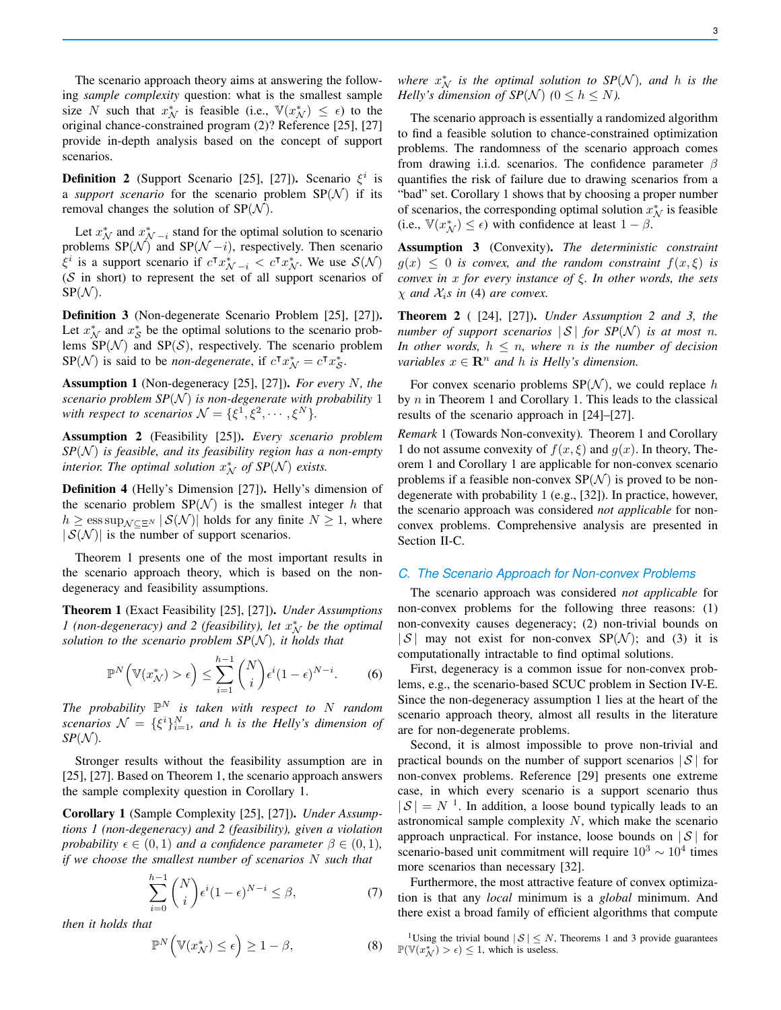The scenario approach theory aims at answering the following *sample complexity* question: what is the smallest sample size N such that  $x_N^*$  is feasible (i.e.,  $\mathbb{V}(x_N^*) \leq \epsilon$ ) to the original chance-constrained program (2)? Reference [25], [27] provide in-depth analysis based on the concept of support scenarios.

**Definition 2** (Support Scenario [25], [27]). Scenario  $\xi^i$  is a *support scenario* for the scenario problem  $SP(N)$  if its removal changes the solution of  $SP(N)$ .

Let  $x^*_{\mathcal{N}}$  and  $x^*_{\mathcal{N}-i}$  stand for the optimal solution to scenario problems  $SP(\mathcal{N})$  and  $SP(\mathcal{N} - i)$ , respectively. Then scenario  $\xi^i$  is a support scenario if  $c^{\dagger} x^*_{\mathcal{N}-i} < c^{\dagger} x^*_{\mathcal{N}}$ . We use  $\mathcal{S}(\mathcal{N})$  $(S$  in short) to represent the set of all support scenarios of  $SP(\mathcal{N}).$ 

Definition 3 (Non-degenerate Scenario Problem [25], [27]). Let  $x_N^*$  and  $x_S^*$  be the optimal solutions to the scenario problems  $SP(N)$  and  $SP(S)$ , respectively. The scenario problem SP(N) is said to be *non-degenerate*, if  $c^{\dagger} x_N^* = c^{\dagger} x_S^*$ .

Assumption 1 (Non-degeneracy [25], [27]). *For every* N*, the scenario problem SP(* $\mathcal{N}$ *) is non-degenerate with probability* 1 with respect to scenarios  $\mathcal{N} = {\{\xi^1, \xi^2, \cdots, \xi^N\}}$ .

Assumption 2 (Feasibility [25]). *Every scenario problem*  $SP(N)$  *is feasible, and its feasibility region has a non-empty interior. The optimal solution*  $x_N^*$  *of SP*( $\mathcal{N}$ ) *exists.* 

Definition 4 (Helly's Dimension [27]). Helly's dimension of the scenario problem  $SP(N)$  is the smallest integer h that  $h \ge \operatorname{ess\,sup}_{\mathcal{N} \subset \Xi^N} |\mathcal{S}(\mathcal{N})|$  holds for any finite  $N \ge 1$ , where  $|S(N)|$  is the number of support scenarios.

Theorem 1 presents one of the most important results in the scenario approach theory, which is based on the nondegeneracy and feasibility assumptions.

Theorem 1 (Exact Feasibility [25], [27]). *Under Assumptions 1* (non-degeneracy) and 2 (feasibility), let  $x_N^*$  be the optimal *solution to the scenario problem*  $SP(N)$ *, it holds that* 

$$
\mathbb{P}^N\Big(\mathbb{V}(x^*_\mathcal{N}) > \epsilon\Big) \le \sum_{i=1}^{h-1} \binom{N}{i} \epsilon^i (1-\epsilon)^{N-i}.\tag{6}
$$

The probability  $\mathbb{P}^N$  is taken with respect to N random scenarios  $\mathcal{N} = \{\xi^i\}_{i=1}^N$ , and *h* is the Helly's dimension of  $SP(N)$ *.* 

Stronger results without the feasibility assumption are in [25], [27]. Based on Theorem 1, the scenario approach answers the sample complexity question in Corollary 1.

Corollary 1 (Sample Complexity [25], [27]). *Under Assumptions 1 (non-degeneracy) and 2 (feasibility), given a violation probability*  $\epsilon \in (0, 1)$  *and a confidence parameter*  $\beta \in (0, 1)$ *, if we choose the smallest number of scenarios* N *such that*

$$
\sum_{i=0}^{h-1} \binom{N}{i} \epsilon^i (1-\epsilon)^{N-i} \le \beta,\tag{7}
$$

*then it holds that*

$$
\mathbb{P}^N\Big(\mathbb{V}(x^*_\mathcal{N}) \le \epsilon\Big) \ge 1 - \beta,\tag{8}
$$

where  $x^*_{\mathcal{N}}$  *is the optimal solution to SP*( $\mathcal{N}$ )*, and h is the Helly's dimension of SP(N)*  $(0 \le h \le N)$ .

The scenario approach is essentially a randomized algorithm to find a feasible solution to chance-constrained optimization problems. The randomness of the scenario approach comes from drawing i.i.d. scenarios. The confidence parameter  $\beta$ quantifies the risk of failure due to drawing scenarios from a "bad" set. Corollary 1 shows that by choosing a proper number of scenarios, the corresponding optimal solution  $x_N^*$  is feasible (i.e.,  $\mathbb{V}(x^*_{\mathcal{N}}) \leq \epsilon$ ) with confidence at least  $1 - \beta$ .

Assumption 3 (Convexity). *The deterministic constraint*  $g(x) \leq 0$  *is convex, and the random constraint*  $f(x,\xi)$  *is convex in* x *for every instance of* ξ*. In other words, the sets*  $\chi$  *and*  $\mathcal{X}_i$ *s in* (4) *are convex.* 

Theorem 2 ( [24], [27]). *Under Assumption 2 and 3, the number of support scenarios*  $|S|$  *for SP(N) is at most n. In other words,*  $h \leq n$ *, where n is the number of decision variables*  $x \in \mathbb{R}^n$  *and h is Helly's dimension.* 

For convex scenario problems  $SP(N)$ , we could replace h by  $n$  in Theorem 1 and Corollary 1. This leads to the classical results of the scenario approach in [24]–[27].

*Remark* 1 (Towards Non-convexity)*.* Theorem 1 and Corollary 1 do not assume convexity of  $f(x, \xi)$  and  $g(x)$ . In theory, Theorem 1 and Corollary 1 are applicable for non-convex scenario problems if a feasible non-convex  $SP(N)$  is proved to be nondegenerate with probability 1 (e.g., [32]). In practice, however, the scenario approach was considered *not applicable* for nonconvex problems. Comprehensive analysis are presented in Section II-C.

### *C. The Scenario Approach for Non-convex Problems*

The scenario approach was considered *not applicable* for non-convex problems for the following three reasons: (1) non-convexity causes degeneracy; (2) non-trivial bounds on  $|S|$  may not exist for non-convex SP(N); and (3) it is computationally intractable to find optimal solutions.

First, degeneracy is a common issue for non-convex problems, e.g., the scenario-based SCUC problem in Section IV-E. Since the non-degeneracy assumption 1 lies at the heart of the scenario approach theory, almost all results in the literature are for non-degenerate problems.

Second, it is almost impossible to prove non-trivial and practical bounds on the number of support scenarios  $|S|$  for non-convex problems. Reference [29] presents one extreme case, in which every scenario is a support scenario thus  $|S| = N^{-1}$ . In addition, a loose bound typically leads to an astronomical sample complexity  $N$ , which make the scenario approach unpractical. For instance, loose bounds on  $|S|$  for scenario-based unit commitment will require  $10^3 \sim 10^4$  times more scenarios than necessary [32].

Furthermore, the most attractive feature of convex optimization is that any *local* minimum is a *global* minimum. And there exist a broad family of efficient algorithms that compute

<sup>1</sup>Using the trivial bound  $|S| \leq N$ , Theorems 1 and 3 provide guarantees  $\mathbb{P}(\mathbb{V}(x_{\mathcal{N}}^*) > \epsilon) \leq 1$ , which is useless.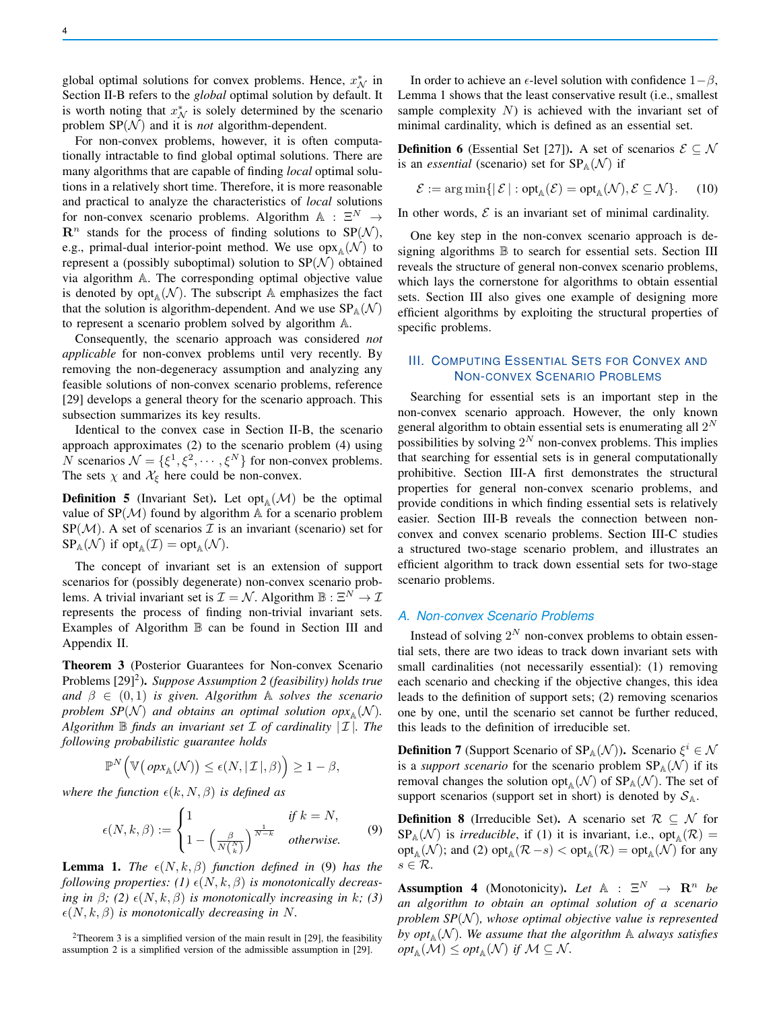global optimal solutions for convex problems. Hence,  $x^*_{\mathcal{N}}$  in Section II-B refers to the *global* optimal solution by default. It is worth noting that  $x_N^*$  is solely determined by the scenario problem  $SP(N)$  and it is *not* algorithm-dependent.

For non-convex problems, however, it is often computationally intractable to find global optimal solutions. There are many algorithms that are capable of finding *local* optimal solutions in a relatively short time. Therefore, it is more reasonable and practical to analyze the characteristics of *local* solutions for non-convex scenario problems. Algorithm  $A : \Xi^N \to$  $\mathbb{R}^n$  stands for the process of finding solutions to  $SP(N)$ , e.g., primal-dual interior-point method. We use  $\mathrm{opx}_{\mathbb{A}}(\mathcal{N})$  to represent a (possibly suboptimal) solution to  $SP(\mathcal{N})$  obtained via algorithm A. The corresponding optimal objective value is denoted by  $opt_A(\mathcal{N})$ . The subscript A emphasizes the fact that the solution is algorithm-dependent. And we use  $SP_A(\mathcal{N})$ to represent a scenario problem solved by algorithm A.

Consequently, the scenario approach was considered *not applicable* for non-convex problems until very recently. By removing the non-degeneracy assumption and analyzing any feasible solutions of non-convex scenario problems, reference [29] develops a general theory for the scenario approach. This subsection summarizes its key results.

Identical to the convex case in Section II-B, the scenario approach approximates (2) to the scenario problem (4) using N scenarios  $\mathcal{N} = {\{\xi^1, \xi^2, \cdots, \xi^N\}}$  for non-convex problems. The sets  $\chi$  and  $\mathcal{X}_{\xi}$  here could be non-convex.

**Definition 5** (Invariant Set). Let opt<sub>A</sub> $(M)$  be the optimal value of  $SP(\mathcal{M})$  found by algorithm A for a scenario problem  $SP(M)$ . A set of scenarios  $\mathcal I$  is an invariant (scenario) set for  $SP_A(\mathcal{N})$  if  $opt_A(\mathcal{I}) = opt_A(\mathcal{N}).$ 

The concept of invariant set is an extension of support scenarios for (possibly degenerate) non-convex scenario problems. A trivial invariant set is  $\mathcal{I} = \mathcal{N}$ . Algorithm  $\mathbb{B}: \mathbb{E}^N \to \mathcal{I}$ represents the process of finding non-trivial invariant sets. Examples of Algorithm  $\mathbb B$  can be found in Section III and Appendix II.

Theorem 3 (Posterior Guarantees for Non-convex Scenario Problems [29]<sup>2</sup>). Suppose Assumption 2 (feasibility) holds true *and*  $\beta \in (0, 1)$  *is given. Algorithm* A *solves the scenario problem SP*( $N$ ) *and obtains an optimal solution*  $op_{X_{\mathbb{A}}}(N)$ *. Algorithm*  $\mathbb B$  *finds an invariant set*  $\mathcal I$  *of cardinality*  $|\mathcal I|$ *. The following probabilistic guarantee holds*

$$
\mathbb{P}^N\Big(\mathbb{V}\big(\operatorname{opx}_{\mathbb{A}}(\mathcal{N})\big)\leq \epsilon(N,|\mathcal{I}|,\beta)\Big)\geq 1-\beta,
$$

*where the function*  $\epsilon(k, N, \beta)$  *is defined as* 

$$
\epsilon(N,k,\beta) := \begin{cases} 1 & \text{if } k = N, \\ 1 - \left(\frac{\beta}{N\binom{N}{k}}\right)^{\frac{1}{N-k}} & \text{otherwise.} \end{cases}
$$
(9)

**Lemma 1.** *The*  $\epsilon(N, k, \beta)$  *function defined in* (9) *has the following properties:* (1)  $\epsilon(N, k, \beta)$  *is monotonically decreasing in*  $\beta$ *;* (2)  $\epsilon(N, k, \beta)$  *is monotonically increasing in k; (3)*  $\epsilon(N, k, \beta)$  *is monotonically decreasing in* N.

<sup>2</sup>Theorem 3 is a simplified version of the main result in [29], the feasibility assumption 2 is a simplified version of the admissible assumption in [29].

In order to achieve an  $\epsilon$ -level solution with confidence  $1-\beta$ , Lemma 1 shows that the least conservative result (i.e., smallest sample complexity  $N$ ) is achieved with the invariant set of minimal cardinality, which is defined as an essential set.

**Definition 6** (Essential Set [27]). A set of scenarios  $\mathcal{E} \subseteq \mathcal{N}$ is an *essential* (scenario) set for  $SP_A(\mathcal{N})$  if

$$
\mathcal{E} := \arg \min \{ \vert \mathcal{E} \vert : \text{opt}_{\mathbb{A}}(\mathcal{E}) = \text{opt}_{\mathbb{A}}(\mathcal{N}), \mathcal{E} \subseteq \mathcal{N} \}. \tag{10}
$$

In other words,  $\mathcal E$  is an invariant set of minimal cardinality.

One key step in the non-convex scenario approach is designing algorithms  $\mathbb B$  to search for essential sets. Section III reveals the structure of general non-convex scenario problems, which lays the cornerstone for algorithms to obtain essential sets. Section III also gives one example of designing more efficient algorithms by exploiting the structural properties of specific problems.

# III. COMPUTING ESSENTIAL SETS FOR CONVEX AND NON-CONVEX SCENARIO PROBLEMS

Searching for essential sets is an important step in the non-convex scenario approach. However, the only known general algorithm to obtain essential sets is enumerating all  $2^N$ possibilities by solving  $2^N$  non-convex problems. This implies that searching for essential sets is in general computationally prohibitive. Section III-A first demonstrates the structural properties for general non-convex scenario problems, and provide conditions in which finding essential sets is relatively easier. Section III-B reveals the connection between nonconvex and convex scenario problems. Section III-C studies a structured two-stage scenario problem, and illustrates an efficient algorithm to track down essential sets for two-stage scenario problems.

# *A. Non-convex Scenario Problems*

Instead of solving  $2^N$  non-convex problems to obtain essential sets, there are two ideas to track down invariant sets with small cardinalities (not necessarily essential): (1) removing each scenario and checking if the objective changes, this idea leads to the definition of support sets; (2) removing scenarios one by one, until the scenario set cannot be further reduced, this leads to the definition of irreducible set.

**Definition 7** (Support Scenario of  $SP_A(\mathcal{N})$ ). Scenario  $\xi^i \in \mathcal{N}$ is a *support scenario* for the scenario problem  $SP_A(\mathcal{N})$  if its removal changes the solution opt<sub>A</sub> $(\mathcal{N})$  of SP<sub>A</sub> $(\mathcal{N})$ . The set of support scenarios (support set in short) is denoted by  $S_A$ .

**Definition 8** (Irreducible Set). A scenario set  $\mathcal{R} \subseteq \mathcal{N}$  for  $SP_{\mathbb{A}}(\mathcal{N})$  is *irreducible*, if (1) it is invariant, i.e., opt<sub>A</sub> $(\mathcal{R})$  =  $\text{opt}_{\mathbb{A}}(\mathcal{N})$ ; and (2)  $\text{opt}_{\mathbb{A}}(\mathcal{R} - s) < \text{opt}_{\mathbb{A}}(\mathcal{R}) = \text{opt}_{\mathbb{A}}(\mathcal{N})$  for any  $s \in \mathcal{R}$ .

**Assumption 4** (Monotonicity). Let  $A : \mathbb{E}^N \to \mathbb{R}^n$  be *an algorithm to obtain an optimal solution of a scenario problem SP(* $N$ *), whose optimal objective value is represented* by  $opt_{\mathbb{A}}(\mathcal{N})$ . We assume that the algorithm  $\mathbb{A}$  always satisfies  $opt_{\mathbb{A}}(\mathcal{M}) \le opt_{\mathbb{A}}(\mathcal{N})$  if  $\mathcal{M} \subseteq \mathcal{N}$ *.*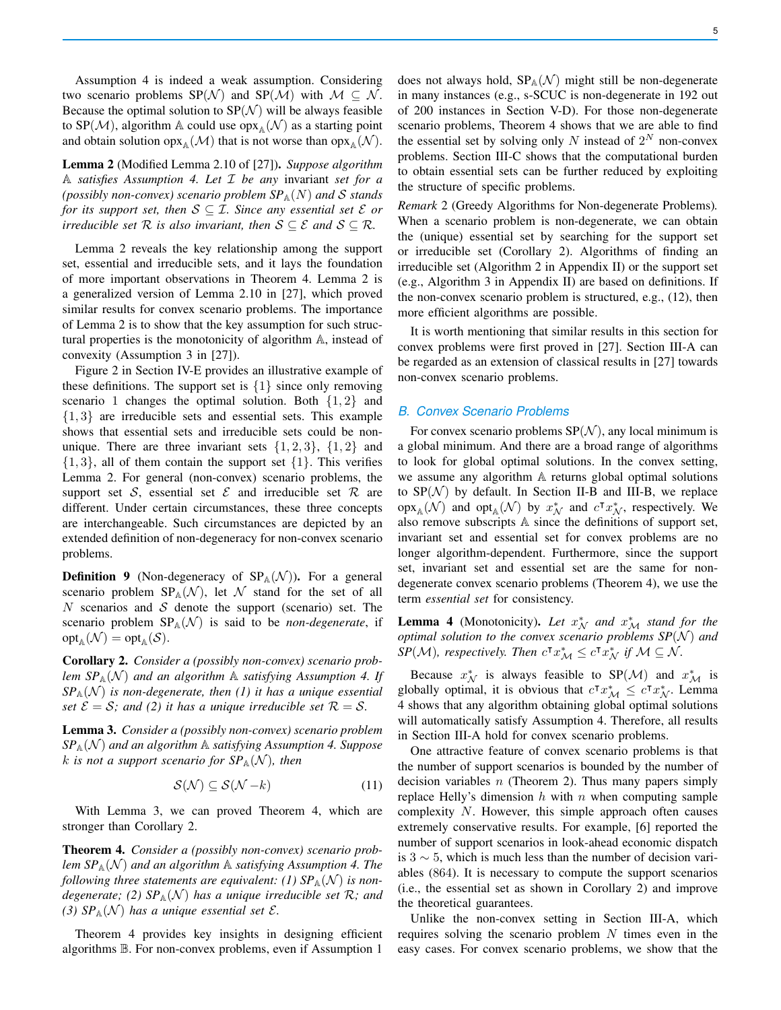Assumption 4 is indeed a weak assumption. Considering two scenario problems SP(N) and SP(M) with  $M \subseteq N$ . Because the optimal solution to  $SP(\mathcal{N})$  will be always feasible to SP(M), algorithm A could use  $\text{opx}_{A}(\mathcal{N})$  as a starting point and obtain solution  $\text{opx}_{\mathbb{A}}(\mathcal{M})$  that is not worse than  $\text{opx}_{\mathbb{A}}(\mathcal{N})$ .

Lemma 2 (Modified Lemma 2.10 of [27]). *Suppose algorithm* A *satisfies Assumption 4. Let* I *be any* invariant *set for a (possibly non-convex) scenario problem*  $SP_A(N)$  *and* S *stands for its support set, then*  $S \subseteq I$ *. Since any essential set*  $\mathcal{E}$  *or irreducible set*  $R$  *is also invariant, then*  $S \subseteq \mathcal{E}$  *and*  $S \subseteq \mathcal{R}$ *.* 

Lemma 2 reveals the key relationship among the support set, essential and irreducible sets, and it lays the foundation of more important observations in Theorem 4. Lemma 2 is a generalized version of Lemma 2.10 in [27], which proved similar results for convex scenario problems. The importance of Lemma 2 is to show that the key assumption for such structural properties is the monotonicity of algorithm A, instead of convexity (Assumption 3 in [27]).

Figure 2 in Section IV-E provides an illustrative example of these definitions. The support set is  $\{1\}$  since only removing scenario 1 changes the optimal solution. Both  $\{1, 2\}$  and {1, 3} are irreducible sets and essential sets. This example shows that essential sets and irreducible sets could be nonunique. There are three invariant sets  $\{1, 2, 3\}$ ,  $\{1, 2\}$  and  $\{1, 3\}$ , all of them contain the support set  $\{1\}$ . This verifies Lemma 2. For general (non-convex) scenario problems, the support set S, essential set  $\mathcal E$  and irreducible set  $\mathcal R$  are different. Under certain circumstances, these three concepts are interchangeable. Such circumstances are depicted by an extended definition of non-degeneracy for non-convex scenario problems.

**Definition 9** (Non-degeneracy of  $SP_A(\mathcal{N})$ ). For a general scenario problem  $SP_{\mathbb{A}}(\mathcal{N})$ , let N stand for the set of all  $N$  scenarios and  $S$  denote the support (scenario) set. The scenario problem  $SP_A(\mathcal{N})$  is said to be *non-degenerate*, if  $\text{opt}_{\mathbb{A}}(\mathcal{N}) = \text{opt}_{\mathbb{A}}(\mathcal{S}).$ 

Corollary 2. *Consider a (possibly non-convex) scenario problem*  $SP_A(\mathcal{N})$  *and an algorithm* A *satisfying Assumption 4. If*  $SP_{\mathbb{A}}(\mathcal{N})$  *is non-degenerate, then* (1) *it has a unique essential set*  $\mathcal{E} = \mathcal{S}$ *;* and (2) it has a unique irreducible set  $\mathcal{R} = \mathcal{S}$ *.* 

Lemma 3. *Consider a (possibly non-convex) scenario problem*  $SP_{\mathbb{A}}(\mathcal{N})$  *and an algorithm* A *satisfying Assumption 4. Suppose* k is not a support scenario for  $SP_{\mathbb{A}}(\mathcal{N})$ , then

$$
\mathcal{S}(\mathcal{N}) \subseteq \mathcal{S}(\mathcal{N} - k) \tag{11}
$$

With Lemma 3, we can proved Theorem 4, which are stronger than Corollary 2.

Theorem 4. *Consider a (possibly non-convex) scenario problem*  $SP_{\mathbb{A}}(\mathcal{N})$  *and an algorithm*  $\mathbb{A}$  *satisfying Assumption 4. The following three statements are equivalent: (1)*  $SP_A(\mathcal{N})$  *is nondegenerate;* (2)  $SP_A(\mathcal{N})$  *has a unique irreducible set*  $\mathcal{R}$ *; and (3)*  $SP_A(\mathcal{N})$  *has a unique essential set*  $\mathcal{E}$ *.* 

Theorem 4 provides key insights in designing efficient algorithms B. For non-convex problems, even if Assumption 1

does not always hold,  $SP_A(\mathcal{N})$  might still be non-degenerate in many instances (e.g., s-SCUC is non-degenerate in 192 out of 200 instances in Section V-D). For those non-degenerate scenario problems, Theorem 4 shows that we are able to find the essential set by solving only N instead of  $2^N$  non-convex problems. Section III-C shows that the computational burden to obtain essential sets can be further reduced by exploiting the structure of specific problems.

*Remark* 2 (Greedy Algorithms for Non-degenerate Problems)*.* When a scenario problem is non-degenerate, we can obtain the (unique) essential set by searching for the support set or irreducible set (Corollary 2). Algorithms of finding an irreducible set (Algorithm 2 in Appendix II) or the support set (e.g., Algorithm 3 in Appendix II) are based on definitions. If the non-convex scenario problem is structured, e.g., (12), then more efficient algorithms are possible.

It is worth mentioning that similar results in this section for convex problems were first proved in [27]. Section III-A can be regarded as an extension of classical results in [27] towards non-convex scenario problems.

#### *B. Convex Scenario Problems*

For convex scenario problems  $SP(N)$ , any local minimum is a global minimum. And there are a broad range of algorithms to look for global optimal solutions. In the convex setting, we assume any algorithm A returns global optimal solutions to  $SP(\mathcal{N})$  by default. In Section II-B and III-B, we replace  $\operatorname{opx}\nolimits_{\mathbb{A}}(\mathcal{N})$  and  $\operatorname{opt}\nolimits_{\mathbb{A}}(\mathcal{N})$  by  $x^*_{\mathcal{N}}$  and  $c^{\intercal}x^*_{\mathcal{N}}$ , respectively. We also remove subscripts A since the definitions of support set, invariant set and essential set for convex problems are no longer algorithm-dependent. Furthermore, since the support set, invariant set and essential set are the same for nondegenerate convex scenario problems (Theorem 4), we use the term *essential set* for consistency.

**Lemma 4** (Monotonicity). Let  $x_N^*$  and  $x_M^*$  stand for the *optimal solution to the convex scenario problems*  $SP(N)$  *and*  $\hat{SP}(\mathcal{M})$ , respectively. Then  $c^{\intercal} x_{\mathcal{M}}^{*} \leq c^{\intercal} x_{\mathcal{N}}^{*}$  if  $\mathcal{M} \subseteq \mathcal{N}$ .

Because  $x^*_{\mathcal{N}}$  is always feasible to SP( $\mathcal{M}$ ) and  $x^*_{\mathcal{M}}$  is globally optimal, it is obvious that  $c^{\intercal} x^*_{\mathcal{M}} \leq c^{\intercal} x^*_{\mathcal{N}}$ . Lemma 4 shows that any algorithm obtaining global optimal solutions will automatically satisfy Assumption 4. Therefore, all results in Section III-A hold for convex scenario problems.

One attractive feature of convex scenario problems is that the number of support scenarios is bounded by the number of decision variables  $n$  (Theorem 2). Thus many papers simply replace Helly's dimension  $h$  with  $n$  when computing sample complexity N. However, this simple approach often causes extremely conservative results. For example, [6] reported the number of support scenarios in look-ahead economic dispatch is 3  $\sim$  5, which is much less than the number of decision variables (864). It is necessary to compute the support scenarios (i.e., the essential set as shown in Corollary 2) and improve the theoretical guarantees.

Unlike the non-convex setting in Section III-A, which requires solving the scenario problem  $N$  times even in the easy cases. For convex scenario problems, we show that the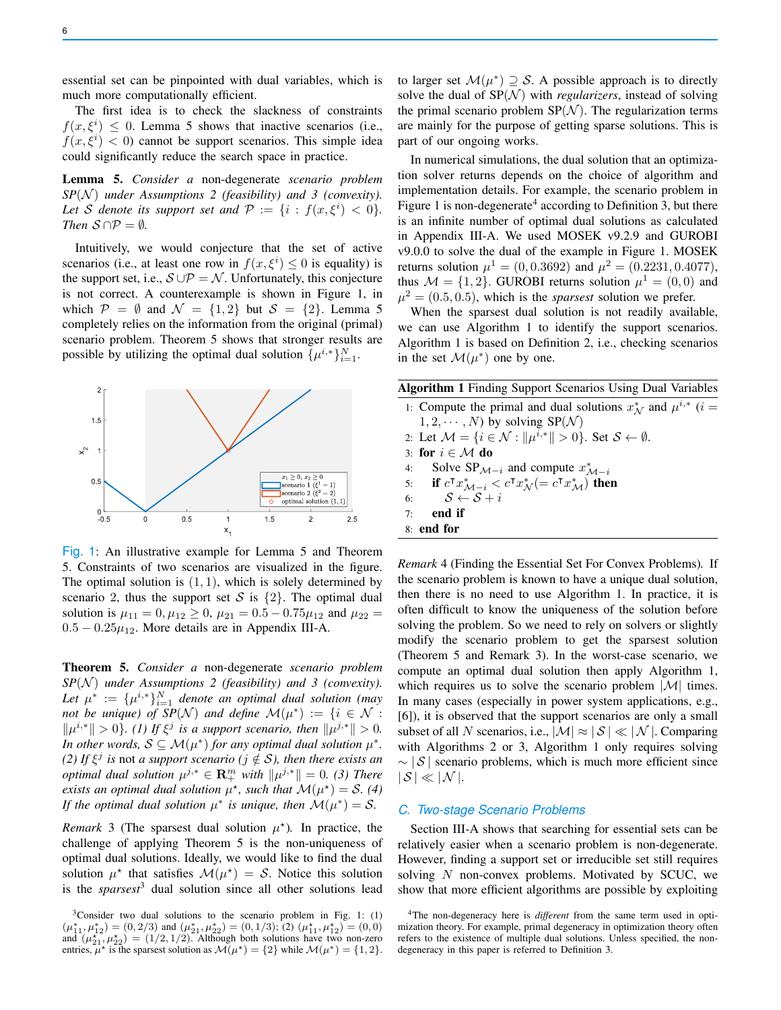The first idea is to check the slackness of constraints  $f(x, \xi^i) \leq 0$ . Lemma 5 shows that inactive scenarios (i.e.,  $f(x, \xi^i)$  < 0) cannot be support scenarios. This simple idea could significantly reduce the search space in practice.

Lemma 5. *Consider a* non-degenerate *scenario problem*  $SP(N)$  *under Assumptions 2 (feasibility) and 3 (convexity).* Let *S* denote its support set and  $P := \{i : f(x, \xi^i) < 0\}.$ *Then*  $S \cap P = \emptyset$ *.* 

Intuitively, we would conjecture that the set of active scenarios (i.e., at least one row in  $f(x, \xi^i) \leq 0$  is equality) is the support set, i.e.,  $S \cup P = N$ . Unfortunately, this conjecture is not correct. A counterexample is shown in Figure 1, in which  $\mathcal{P} = \emptyset$  and  $\mathcal{N} = \{1, 2\}$  but  $\mathcal{S} = \{2\}$ . Lemma 5 completely relies on the information from the original (primal) scenario problem. Theorem 5 shows that stronger results are possible by utilizing the optimal dual solution  $\{\mu^{i,*}\}_{i=1}^N$ .



Fig. 1: An illustrative example for Lemma 5 and Theorem 5. Constraints of two scenarios are visualized in the figure. The optimal solution is  $(1, 1)$ , which is solely determined by scenario 2, thus the support set S is  $\{2\}$ . The optimal dual solution is  $\mu_{11} = 0, \mu_{12} \ge 0, \mu_{21} = 0.5 - 0.75 \mu_{12}$  and  $\mu_{22} =$  $0.5 - 0.25\mu_{12}$ . More details are in Appendix III-A.

Theorem 5. *Consider a* non-degenerate *scenario problem*  $SP(\mathcal{N})$  *under Assumptions 2 (feasibility) and 3 (convexity).* Let  $\mu^* := {\{\mu^{i,*}\}}_{i=1}^N$  denote an optimal dual solution (may *not be unique) of SP*( $\mathcal{N}$ ) *and define*  $\mathcal{M}(\mu^*) := \{i \in \mathcal{N} :$  $\|\mu^{i,*}\| > 0$ *}. (1) If*  $\xi^j$  *is a support scenario, then*  $\|\mu^{j,*}\| > 0$ *. In other words,*  $S \subseteq M(\mu^*)$  *for any optimal dual solution*  $\mu^*$ *. (2)* If  $\xi^j$  is not *a support scenario (j*  $\notin$  *S*), then there exists an *optimal dual solution*  $\mu^{j,*} \in \mathbb{R}^m_+$  *with*  $\|\mu^{j,*}\| = 0$ . (3) There *exists an optimal dual solution*  $\mu^*$ *, such that*  $\mathcal{M}(\mu^*) = \mathcal{S}$ *.* (4) *If the optimal dual solution*  $\mu^*$  *is unique, then*  $\mathcal{M}(\mu^*) = \mathcal{S}$ *.* 

*Remark* 3 (The sparsest dual solution  $\mu^*$ ). In practice, the challenge of applying Theorem 5 is the non-uniqueness of optimal dual solutions. Ideally, we would like to find the dual solution  $\mu^*$  that satisfies  $\mathcal{M}(\mu^*) = \mathcal{S}$ . Notice this solution is the *sparsest*<sup>3</sup> dual solution since all other solutions lead

to larger set  $\mathcal{M}(\mu^*) \supseteq \mathcal{S}$ . A possible approach is to directly solve the dual of  $SP(N)$  with *regularizers*, instead of solving the primal scenario problem  $SP(N)$ . The regularization terms are mainly for the purpose of getting sparse solutions. This is part of our ongoing works.

In numerical simulations, the dual solution that an optimization solver returns depends on the choice of algorithm and implementation details. For example, the scenario problem in Figure 1 is non-degenerate<sup>4</sup> according to Definition 3, but there is an infinite number of optimal dual solutions as calculated in Appendix III-A. We used MOSEK v9.2.9 and GUROBI v9.0.0 to solve the dual of the example in Figure 1. MOSEK returns solution  $\mu^1 = (0, 0.3692)$  and  $\mu^2 = (0.2231, 0.4077)$ , thus  $\mathcal{M} = \{1, 2\}$ . GUROBI returns solution  $\mu^1 = (0, 0)$  and  $\mu^2 = (0.5, 0.5)$ , which is the *sparsest* solution we prefer.

When the sparsest dual solution is not readily available, we can use Algorithm 1 to identify the support scenarios. Algorithm 1 is based on Definition 2, i.e., checking scenarios in the set  $\mathcal{M}(\mu^*)$  one by one.

Algorithm 1 Finding Support Scenarios Using Dual Variables

| 1: Compute the primal and dual solutions $x_N^*$ and $\mu^{i,*}$ (i =                                       |
|-------------------------------------------------------------------------------------------------------------|
| $1, 2, \cdots, N$ by solving $SP(N)$                                                                        |
| 2: Let $\mathcal{M} = \{i \in \mathcal{N} :   \mu^{i,*}   > 0\}$ . Set $\mathcal{S} \leftarrow \emptyset$ . |
|                                                                                                             |

3: for  $i \in \mathcal{M}$  do 4: Solve  $SP_{\mathcal{M}-i}$  and compute  $x_{\mathcal{M}-i}^*$ 

5: if  $c^{\mathsf{T}} x^*_{\mathcal{M}-i} < c^{\mathsf{T}} x^*_{\mathcal{N}} (= c^{\mathsf{T}} x^*_{\mathcal{M}})$  then

6:  $S \leftarrow S + i$ 

7: end if

8: end for

*Remark* 4 (Finding the Essential Set For Convex Problems)*.* If the scenario problem is known to have a unique dual solution, then there is no need to use Algorithm 1. In practice, it is often difficult to know the uniqueness of the solution before solving the problem. So we need to rely on solvers or slightly modify the scenario problem to get the sparsest solution (Theorem 5 and Remark 3). In the worst-case scenario, we compute an optimal dual solution then apply Algorithm 1, which requires us to solve the scenario problem  $|\mathcal{M}|$  times. In many cases (especially in power system applications, e.g., [6]), it is observed that the support scenarios are only a small subset of all N scenarios, i.e.,  $|M| \approx |\mathcal{S}| \ll |\mathcal{N}|$ . Comparing with Algorithms 2 or 3, Algorithm 1 only requires solving  $\sim$  | S | scenario problems, which is much more efficient since  $|S| \ll |\mathcal{N}|$ .

## *C. Two-stage Scenario Problems*

Section III-A shows that searching for essential sets can be relatively easier when a scenario problem is non-degenerate. However, finding a support set or irreducible set still requires solving  $N$  non-convex problems. Motivated by SCUC, we show that more efficient algorithms are possible by exploiting

<sup>3</sup>Consider two dual solutions to the scenario problem in Fig. 1: (1)  $(\mu_{11}^*, \mu_{12}^*) = (0, 2/3)$  and  $(\mu_{21}^*, \mu_{22}^*) = (0, 1/3)$ ; (2)  $(\mu_{11}^*, \mu_{12}^*) = (0, 0)$ and  $(\mu_{21}^*, \mu_{22}^*)$  =  $(1/2, 1/2)$ . Although both solutions have two non-zero entries,  $\mu^*$  is the sparsest solution as  $\mathcal{M}(\mu^*) = \{2\}$  while  $\mathcal{M}(\mu^*) = \{1, 2\}.$ 

<sup>4</sup>The non-degeneracy here is *different* from the same term used in optimization theory. For example, primal degeneracy in optimization theory often refers to the existence of multiple dual solutions. Unless specified, the nondegeneracy in this paper is referred to Definition 3.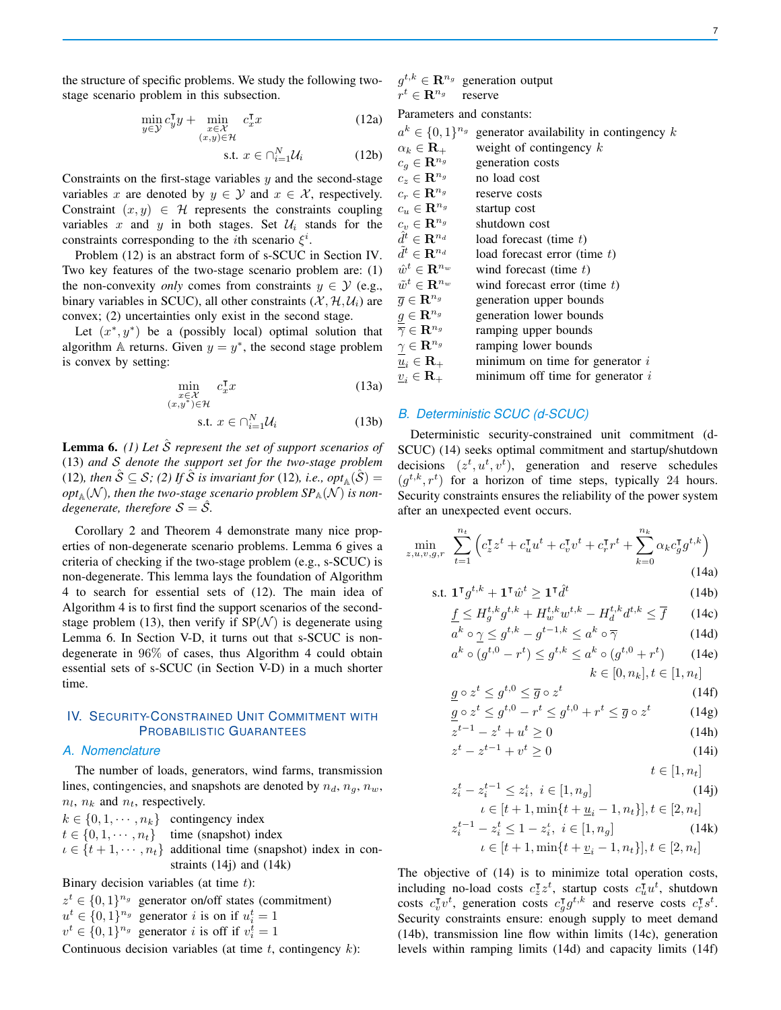7

the structure of specific problems. We study the following twostage scenario problem in this subsection.

$$
\min_{y \in \mathcal{Y}} c_y^\mathsf{T} y + \min_{\substack{x \in \mathcal{X} \\ (x,y) \in \mathcal{H}}} c_x^\mathsf{T} x \tag{12a}
$$

$$
\text{s.t. } x \in \bigcap_{i=1}^{N} \mathcal{U}_i \tag{12b}
$$

Constraints on the first-stage variables  $y$  and the second-stage variables x are denoted by  $y \in Y$  and  $x \in X$ , respectively. Constraint  $(x, y) \in \mathcal{H}$  represents the constraints coupling variables x and y in both stages. Set  $\mathcal{U}_i$  stands for the constraints corresponding to the *i*th scenario  $\xi^i$ .

Problem (12) is an abstract form of s-SCUC in Section IV. Two key features of the two-stage scenario problem are: (1) the non-convexity *only* comes from constraints  $y \in \mathcal{Y}$  (e.g., binary variables in SCUC), all other constraints  $(\mathcal{X}, \mathcal{H}, \mathcal{U}_i)$  are convex; (2) uncertainties only exist in the second stage.

Let  $(x^*, y^*)$  be a (possibly local) optimal solution that algorithm A returns. Given  $y = y^*$ , the second stage problem is convex by setting:

$$
\min_{\substack{x \in \mathcal{X} \\ (x,y^*) \in \mathcal{H}}} c_x^{\mathsf{T}} x \tag{13a}
$$

$$
\text{s.t. } x \in \bigcap_{i=1}^{N} \mathcal{U}_i \tag{13b}
$$

Lemma 6. *(1) Let* Sˆ *represent the set of support scenarios of* (13) *and* S *denote the support set for the two-stage problem* (12), then  $\hat{S} \subseteq S$ ; (2) If  $\hat{S}$  is invariant for (12), i.e.,  $opt_{\mathbb{A}}(\hat{S}) =$  $opt_\mathbb{A}(\mathcal{N})$ , then the two-stage scenario problem SP $_\mathbb{A}(\mathcal{N})$  is non*degenerate, therefore*  $S = \overline{S}$ *.* 

Corollary 2 and Theorem 4 demonstrate many nice properties of non-degenerate scenario problems. Lemma 6 gives a criteria of checking if the two-stage problem (e.g., s-SCUC) is non-degenerate. This lemma lays the foundation of Algorithm 4 to search for essential sets of (12). The main idea of Algorithm 4 is to first find the support scenarios of the secondstage problem (13), then verify if  $SP(N)$  is degenerate using Lemma 6. In Section V-D, it turns out that s-SCUC is nondegenerate in 96% of cases, thus Algorithm 4 could obtain essential sets of s-SCUC (in Section V-D) in a much shorter time.

# IV. SECURITY-CONSTRAINED UNIT COMMITMENT WITH PROBABILISTIC GUARANTEES

# *A. Nomenclature*

The number of loads, generators, wind farms, transmission lines, contingencies, and snapshots are denoted by  $n_d$ ,  $n_g$ ,  $n_w$ ,  $n_l$ ,  $n_k$  and  $n_t$ , respectively.

$$
k \in \{0, 1, \dots, n_k\} \quad \text{contingency index} \\ t \in \{0, 1, \dots, n_t\} \quad \text{time (snapshot) index} \\ \iota \in \{t + 1, \dots, n_t\} \quad \text{additional time (snapshot) index in constraints (14j) and (14k)}
$$

Binary decision variables (at time  $t$ ):

$$
z^t \in \{0,1\}^{n_g}
$$
 generator on/off states (commitment)  
\n $u^t \in \{0,1\}^{n_g}$  generator *i* is on if  $u_i^t = 1$   
\n $v^t \in \{0,1\}^{n_g}$  generator *i* is off if  $v_i^t = 1$ 

Continuous decision variables (at time  $t$ , contingency  $k$ ):

 $g^{t,k} \in \mathbf{R}^{n_g}$  generation output  $r^t \in \mathbf{R}^{n_g}$ reserve

Parameters and constants:

| $a^k \in \{0,1\}^{n_g}$                            | generator availability in contingency $k$ |
|----------------------------------------------------|-------------------------------------------|
| $\alpha_k \in \mathbf{R}_+$                        | weight of contingency $k$                 |
| $c_q \in \mathbf{R}^{n_g}$                         | generation costs                          |
| $c_z \in \mathbf{R}^{n_g}$                         | no load cost                              |
| $c_r \in \mathbf{R}^{n_g}$                         | reserve costs                             |
| $c_u \in \mathbf{R}^{n_g}$                         | startup cost                              |
| $c_v \in \mathbf{R}^{n_g}$                         | shutdown cost                             |
| $\hat{d}^t \in \mathbf{R}^{n_d}$                   | load forecast (time $t$ )                 |
| $\tilde{d}^t \in \mathbf{R}^{n_d}$                 | load forecast error (time $t$ )           |
| $\hat{w}^t \in \mathbb{R}^{n_w}$                   | wind forecast (time $t$ )                 |
| $\tilde{w}^t \in \mathbf{R}^{n_w}$                 | wind forecast error (time $t$ )           |
| $\overline{q}\in \mathbf{R}^{n_g}$                 | generation upper bounds                   |
| $\frac{g}{\overline{\gamma}} \in \mathbf{R}^{n_g}$ | generation lower bounds                   |
|                                                    | ramping upper bounds                      |
| $\gamma \in \mathbf{R}^{n_g}$                      | ramping lower bounds                      |
| $\underline{u}_i \in \mathbf{R}_+$                 | minimum on time for generator $i$         |
| $v_i \in \mathbf{R}_+$                             | minimum off time for generator $i$        |

## *B. Deterministic SCUC (d-SCUC)*

 $\mathbf s$ 

 $\mathscr{L}_{\mathscr{L}}$ 

Deterministic security-constrained unit commitment (d-SCUC) (14) seeks optimal commitment and startup/shutdown decisions  $(z^t, u^t, v^t)$ , generation and reserve schedules  $(g^{t,k}, r^t)$  for a horizon of time steps, typically 24 hours. Security constraints ensures the reliability of the power system after an unexpected event occurs.

$$
\min_{z, u, v, g, r} \sum_{t=1}^{n_t} \left( c_z^{\mathsf{T}} z^t + c_u^{\mathsf{T}} u^t + c_v^{\mathsf{T}} v^t + c_r^{\mathsf{T}} r^t + \sum_{k=0}^{n_k} \alpha_k c_g^{\mathsf{T}} g^{t,k} \right)
$$
\n(14a)

$$
\text{.t. } \mathbf{1}^\mathsf{T} g^{t,k} + \mathbf{1}^\mathsf{T} \hat{w}^t \ge \mathbf{1}^\mathsf{T} \hat{d}^t \tag{14b}
$$

$$
\underline{f} \le H_g^{t,k} g^{t,k} + H_w^{t,k} w^{t,k} - H_d^{t,k} d^{t,k} \le \overline{f} \qquad (14c)
$$

$$
a^{k} \circ \gamma \leq g^{t,k} - g^{t-1,k} \leq a^{k} \circ \overline{\gamma}
$$
 (14d)  
\n
$$
a^{k} \circ (a^{t,0} - r^{t}) < a^{t,k} < a^{k} \circ (a^{t,0} + r^{t})
$$
 (14e)

$$
a^{k} \circ (g^{t,0} - r^{t}) \leq g^{t,k} \leq a^{k} \circ (g^{t,0} + r^{t}) \qquad (14e)
$$

$$
k \in [0, n_{k}], t \in [1, n_{t}]
$$

$$
\circ z^t \le g^{t,0} \le \overline{g} \circ z^t \tag{14f}
$$

$$
\underline{g} \circ z^t \le g^{t,0} - r^t \le g^{t,0} + r^t \le \overline{g} \circ z^t \tag{14g}
$$

$$
z^{t-1} - z^t + u^t \ge 0 \tag{14h}
$$

$$
z^{t} - z^{t-1} + v^{t} \ge 0
$$
 (14i)

$$
t \in [1, n_t]
$$

$$
z_i^t - z_i^{t-1} \le z_i^t, \ i \in [1, n_g]
$$
  

$$
t \in [t+1, \min\{t+n-1, n, \}]\ t \in [2, n].
$$
 (14j)

$$
z_i^{t-1} - z_i^t \le 1 - z_i^t, \ i \in [1, n_g] \tag{14k}
$$
  

$$
\iota \in [t+1, \min\{t + \underline{v}_i - 1, n_t\}], t \in [2, n_t]
$$

The objective of (14) is to minimize total operation costs, including no-load costs  $c_z^{\dagger}z^t$ , startup costs  $c_u^{\dagger}u^t$ , shutdown costs  $c_{v}^{\mathsf{T}}v^{t}$ , generation costs  $c_{g}^{\mathsf{T}}g^{t,k}$  and reserve costs  $c_{r}^{\mathsf{T}}s^{t}$ . Security constraints ensure: enough supply to meet demand (14b), transmission line flow within limits (14c), generation levels within ramping limits (14d) and capacity limits (14f)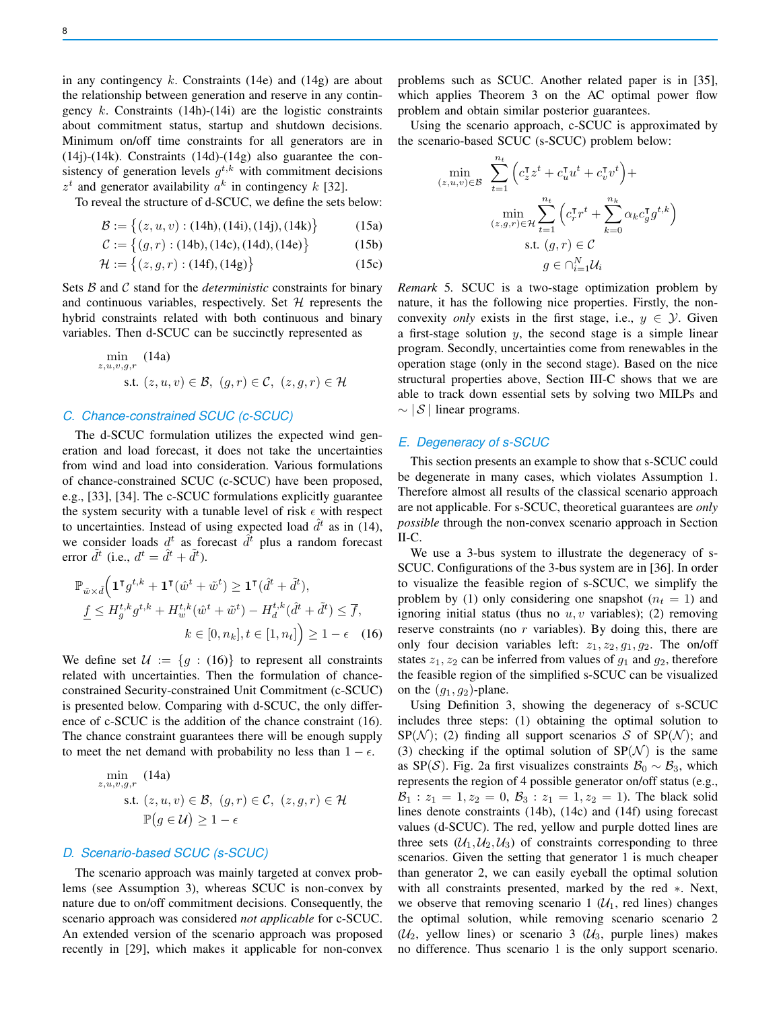in any contingency k. Constraints (14e) and (14g) are about the relationship between generation and reserve in any contingency  $k$ . Constraints (14h)-(14i) are the logistic constraints about commitment status, startup and shutdown decisions. Minimum on/off time constraints for all generators are in (14j)-(14k). Constraints (14d)-(14g) also guarantee the consistency of generation levels  $g^{t,k}$  with commitment decisions  $z<sup>t</sup>$  and generator availability  $a<sup>k</sup>$  in contingency k [32].

To reveal the structure of d-SCUC, we define the sets below:

$$
\mathcal{B} := \{(z, u, v) : (14h), (14i), (14j), (14k)\}\
$$
 (15a)

$$
C := \{(g, r) : (14b), (14c), (14d), (14e)\}\
$$
 (15b)

$$
\mathcal{H} := \{(z, g, r) : (14f), (14g)\}\
$$
 (15c)

Sets B and C stand for the *deterministic* constraints for binary and continuous variables, respectively. Set  $H$  represents the hybrid constraints related with both continuous and binary variables. Then d-SCUC can be succinctly represented as

$$
\min_{z, u, v, g, r} (14a)
$$
  
s.t.  $(z, u, v) \in \mathcal{B}, (g, r) \in \mathcal{C}, (z, g, r) \in \mathcal{H}$ 

# *C. Chance-constrained SCUC (c-SCUC)*

The d-SCUC formulation utilizes the expected wind generation and load forecast, it does not take the uncertainties from wind and load into consideration. Various formulations of chance-constrained SCUC (c-SCUC) have been proposed, e.g., [33], [34]. The c-SCUC formulations explicitly guarantee the system security with a tunable level of risk  $\epsilon$  with respect to uncertainties. Instead of using expected load  $\hat{d}^t$  as in (14), we consider loads  $d^t$  as forecast  $\hat{d}^{\tilde{t}}$  plus a random forecast error  $\tilde{d}^t$  (i.e.,  $d^t = \hat{d}^t + \tilde{d}^t$ ).

$$
\mathbb{P}_{\tilde{w}\times\tilde{d}}\Big(\mathbf{1}^\mathsf{T} g^{t,k} + \mathbf{1}^\mathsf{T}(\hat{w}^t + \tilde{w}^t) \ge \mathbf{1}^\mathsf{T}(\hat{d}^t + \tilde{d}^t),
$$
\n
$$
\underline{f} \le H_g^{t,k} g^{t,k} + H_w^{t,k}(\hat{w}^t + \tilde{w}^t) - H_d^{t,k}(\hat{d}^t + \tilde{d}^t) \le \overline{f},
$$
\n
$$
k \in [0, n_k], t \in [1, n_t] \ge 1 - \epsilon \quad (16)
$$

We define set  $\mathcal{U} := \{g : (16)\}\$  to represent all constraints related with uncertainties. Then the formulation of chanceconstrained Security-constrained Unit Commitment (c-SCUC) is presented below. Comparing with d-SCUC, the only difference of c-SCUC is the addition of the chance constraint (16). The chance constraint guarantees there will be enough supply to meet the net demand with probability no less than  $1 - \epsilon$ .

$$
\min_{z, u, v, g, r} (14a)
$$
\n
$$
\text{s.t. } (z, u, v) \in \mathcal{B}, (g, r) \in \mathcal{C}, (z, g, r) \in \mathcal{H}
$$
\n
$$
\mathbb{P}(g \in \mathcal{U}) \ge 1 - \epsilon
$$

## *D. Scenario-based SCUC (s-SCUC)*

The scenario approach was mainly targeted at convex problems (see Assumption 3), whereas SCUC is non-convex by nature due to on/off commitment decisions. Consequently, the scenario approach was considered *not applicable* for c-SCUC. An extended version of the scenario approach was proposed recently in [29], which makes it applicable for non-convex problems such as SCUC. Another related paper is in [35], which applies Theorem 3 on the AC optimal power flow problem and obtain similar posterior guarantees.

Using the scenario approach, c-SCUC is approximated by the scenario-based SCUC (s-SCUC) problem below:

$$
\min_{(z,u,v)\in\mathcal{B}} \sum_{t=1}^{n_t} \left( c_z^{\mathsf{T}} z^t + c_u^{\mathsf{T}} u^t + c_v^{\mathsf{T}} v^t \right) +
$$
\n
$$
\min_{(z,g,r)\in\mathcal{H}} \sum_{t=1}^{n_t} \left( c_r^{\mathsf{T}} r^t + \sum_{k=0}^{n_k} \alpha_k c_g^{\mathsf{T}} g^{t,k} \right)
$$
\n
$$
\text{s.t. } (g,r) \in \mathcal{C}
$$
\n
$$
g \in \bigcap_{i=1}^N \mathcal{U}_i
$$

*Remark* 5*.* SCUC is a two-stage optimization problem by nature, it has the following nice properties. Firstly, the nonconvexity *only* exists in the first stage, i.e.,  $y \in \mathcal{Y}$ . Given a first-stage solution  $y$ , the second stage is a simple linear program. Secondly, uncertainties come from renewables in the operation stage (only in the second stage). Based on the nice structural properties above, Section III-C shows that we are able to track down essential sets by solving two MILPs and  $\sim$  | S | linear programs.

# *E. Degeneracy of s-SCUC*

This section presents an example to show that s-SCUC could be degenerate in many cases, which violates Assumption 1. Therefore almost all results of the classical scenario approach are not applicable. For s-SCUC, theoretical guarantees are *only possible* through the non-convex scenario approach in Section II-C.

We use a 3-bus system to illustrate the degeneracy of s-SCUC. Configurations of the 3-bus system are in [36]. In order to visualize the feasible region of s-SCUC, we simplify the problem by (1) only considering one snapshot  $(n_t = 1)$  and ignoring initial status (thus no  $u, v$  variables); (2) removing reserve constraints (no r variables). By doing this, there are only four decision variables left:  $z_1$ ,  $z_2$ ,  $g_1$ ,  $g_2$ . The on/off states  $z_1, z_2$  can be inferred from values of  $g_1$  and  $g_2$ , therefore the feasible region of the simplified s-SCUC can be visualized on the  $(g_1, g_2)$ -plane.

Using Definition 3, showing the degeneracy of s-SCUC includes three steps: (1) obtaining the optimal solution to  $SP(\mathcal{N})$ ; (2) finding all support scenarios S of  $SP(\mathcal{N})$ ; and (3) checking if the optimal solution of  $SP(N)$  is the same as SP(S). Fig. 2a first visualizes constraints  $\mathcal{B}_0 \sim \mathcal{B}_3$ , which represents the region of 4 possible generator on/off status (e.g.,  $B_1: z_1 = 1, z_2 = 0, B_3: z_1 = 1, z_2 = 1$ . The black solid lines denote constraints (14b), (14c) and (14f) using forecast values (d-SCUC). The red, yellow and purple dotted lines are three sets  $(\mathcal{U}_1, \mathcal{U}_2, \mathcal{U}_3)$  of constraints corresponding to three scenarios. Given the setting that generator 1 is much cheaper than generator 2, we can easily eyeball the optimal solution with all constraints presented, marked by the red ∗. Next, we observe that removing scenario 1  $(\mathcal{U}_1)$ , red lines) changes the optimal solution, while removing scenario scenario 2  $(\mathcal{U}_2,$  yellow lines) or scenario 3  $(\mathcal{U}_3,$  purple lines) makes no difference. Thus scenario 1 is the only support scenario.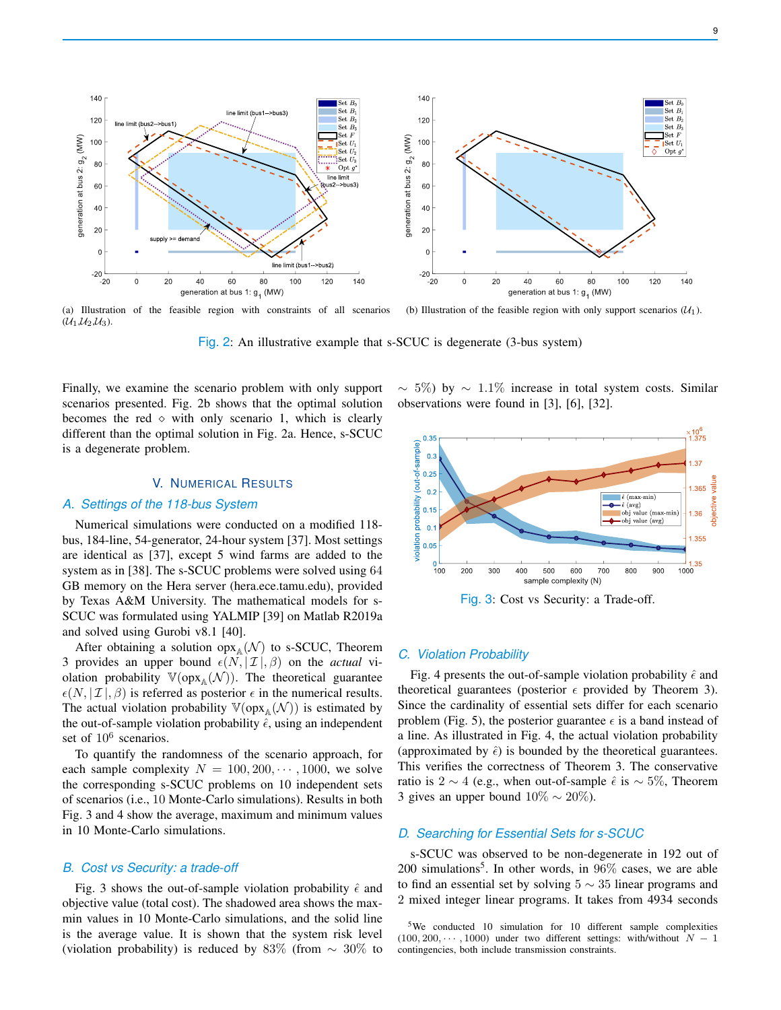

(a) Illustration of the feasible region with constraints of all scenarios  $(\mathcal{U}_1, \mathcal{U}_2, \mathcal{U}_3).$ (b) Illustration of the feasible region with only support scenarios  $(\mathcal{U}_1)$ .

Fig. 2: An illustrative example that s-SCUC is degenerate (3-bus system)

Finally, we examine the scenario problem with only support scenarios presented. Fig. 2b shows that the optimal solution becomes the red  $\diamond$  with only scenario 1, which is clearly different than the optimal solution in Fig. 2a. Hence, s-SCUC is a degenerate problem.

# V. NUMERICAL RESULTS

# *A. Settings of the 118-bus System*

Numerical simulations were conducted on a modified 118 bus, 184-line, 54-generator, 24-hour system [37]. Most settings are identical as [37], except 5 wind farms are added to the system as in [38]. The s-SCUC problems were solved using 64 GB memory on the Hera server (hera.ece.tamu.edu), provided by Texas A&M University. The mathematical models for s-SCUC was formulated using YALMIP [39] on Matlab R2019a and solved using Gurobi v8.1 [40].

After obtaining a solution  $op_{A}(N)$  to s-SCUC, Theorem 3 provides an upper bound  $\epsilon(N, |\mathcal{I}|, \beta)$  on the *actual* violation probability  $\mathbb{V}(\text{opx}_{\mathbb{A}}(\mathcal{N}))$ . The theoretical guarantee  $\epsilon(N, |\mathcal{I}|, \beta)$  is referred as posterior  $\epsilon$  in the numerical results. The actual violation probability  $\mathbb{V}(\text{opx}_{\mathbb{A}}(\mathcal{N}))$  is estimated by the out-of-sample violation probability  $\hat{\epsilon}$ , using an independent set of  $10^6$  scenarios.

To quantify the randomness of the scenario approach, for each sample complexity  $N = 100, 200, \dots, 1000$ , we solve the corresponding s-SCUC problems on 10 independent sets of scenarios (i.e., 10 Monte-Carlo simulations). Results in both Fig. 3 and 4 show the average, maximum and minimum values in 10 Monte-Carlo simulations.

#### *B. Cost vs Security: a trade-off*

Fig. 3 shows the out-of-sample violation probability  $\hat{\epsilon}$  and objective value (total cost). The shadowed area shows the maxmin values in 10 Monte-Carlo simulations, and the solid line is the average value. It is shown that the system risk level (violation probability) is reduced by 83% (from  $\sim 30\%$  to

 $\sim$  5%) by  $\sim$  1.1% increase in total system costs. Similar observations were found in [3], [6], [32].



Fig. 3: Cost vs Security: a Trade-off.

#### *C. Violation Probability*

Fig. 4 presents the out-of-sample violation probability  $\hat{\epsilon}$  and theoretical guarantees (posterior  $\epsilon$  provided by Theorem 3). Since the cardinality of essential sets differ for each scenario problem (Fig. 5), the posterior guarantee  $\epsilon$  is a band instead of a line. As illustrated in Fig. 4, the actual violation probability (approximated by  $\hat{\epsilon}$ ) is bounded by the theoretical guarantees. This verifies the correctness of Theorem 3. The conservative ratio is 2 ∼ 4 (e.g., when out-of-sample  $\hat{\epsilon}$  is ~ 5%, Theorem 3 gives an upper bound  $10\% \sim 20\%$ ).

# *D. Searching for Essential Sets for s-SCUC*

s-SCUC was observed to be non-degenerate in 192 out of 200 simulations<sup>5</sup>. In other words, in  $96\%$  cases, we are able to find an essential set by solving  $5 \sim 35$  linear programs and 2 mixed integer linear programs. It takes from 4934 seconds

<sup>&</sup>lt;sup>5</sup>We conducted 10 simulation for 10 different sample complexities  $(100, 200, \cdots, 1000)$  under two different settings: with/without  $N - 1$ contingencies, both include transmission constraints.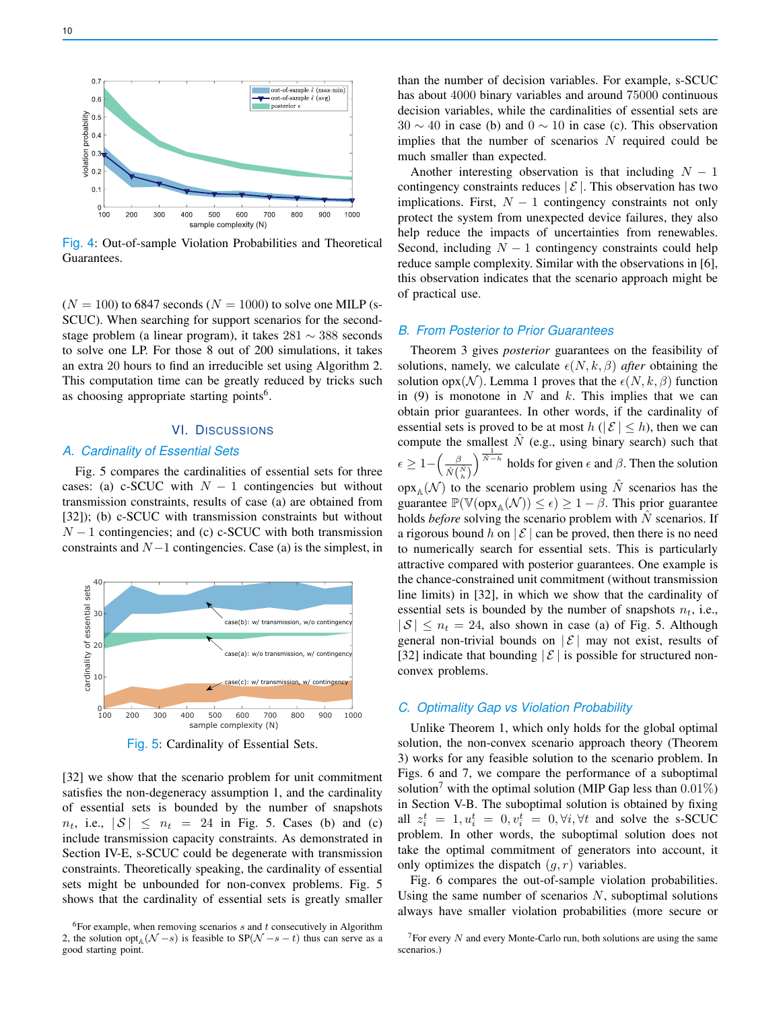

Fig. 4: Out-of-sample Violation Probabilities and Theoretical Guarantees.

 $(N = 100)$  to 6847 seconds  $(N = 1000)$  to solve one MILP (s-SCUC). When searching for support scenarios for the secondstage problem (a linear program), it takes 281 ∼ 388 seconds to solve one LP. For those 8 out of 200 simulations, it takes an extra 20 hours to find an irreducible set using Algorithm 2. This computation time can be greatly reduced by tricks such as choosing appropriate starting points<sup>6</sup>.

#### VI. DISCUSSIONS

## *A. Cardinality of Essential Sets*

Fig. 5 compares the cardinalities of essential sets for three cases: (a) c-SCUC with  $N-1$  contingencies but without transmission constraints, results of case (a) are obtained from [32]); (b) c-SCUC with transmission constraints but without  $N-1$  contingencies; and (c) c-SCUC with both transmission constraints and  $N-1$  contingencies. Case (a) is the simplest, in



Fig. 5: Cardinality of Essential Sets.

[32] we show that the scenario problem for unit commitment satisfies the non-degeneracy assumption 1, and the cardinality of essential sets is bounded by the number of snapshots  $n_t$ , i.e.,  $|S| \leq n_t = 24$  in Fig. 5. Cases (b) and (c) include transmission capacity constraints. As demonstrated in Section IV-E, s-SCUC could be degenerate with transmission constraints. Theoretically speaking, the cardinality of essential sets might be unbounded for non-convex problems. Fig. 5 shows that the cardinality of essential sets is greatly smaller than the number of decision variables. For example, s-SCUC has about 4000 binary variables and around 75000 continuous decision variables, while the cardinalities of essential sets are  $30 \sim 40$  in case (b) and  $0 \sim 10$  in case (c). This observation implies that the number of scenarios  $N$  required could be much smaller than expected.

Another interesting observation is that including  $N - 1$ contingency constraints reduces  $\mathcal{E}$ . This observation has two implications. First,  $N - 1$  contingency constraints not only protect the system from unexpected device failures, they also help reduce the impacts of uncertainties from renewables. Second, including  $N - 1$  contingency constraints could help reduce sample complexity. Similar with the observations in [6], this observation indicates that the scenario approach might be of practical use.

# *B. From Posterior to Prior Guarantees*

Theorem 3 gives *posterior* guarantees on the feasibility of solutions, namely, we calculate  $\epsilon(N, k, \beta)$  *after* obtaining the solution opx(N). Lemma 1 proves that the  $\epsilon(N, k, \beta)$  function in (9) is monotone in N and k. This implies that we can obtain prior guarantees. In other words, if the cardinality of essential sets is proved to be at most  $h$  ( $|\mathcal{E}| \leq h$ ), then we can compute the smallest  $\hat{N}$  (e.g., using binary search) such that  $\epsilon \geq 1 - \left( \frac{\beta}{\hat{\beta} \epsilon} \right)$  $\hat{N}(\frac{\hat{N}}{h})$  $\int_0^{\frac{1}{N-h}}$  holds for given  $\epsilon$  and  $\beta$ . Then the solution  $\operatorname{opx}_A(\mathcal{N})$  to the scenario problem using  $\hat{N}$  scenarios has the guarantee  $\mathbb{P}(\mathbb{V}(\text{opx}_{\mathbb{A}}(\mathcal{N})) \leq \epsilon) \geq 1 - \beta$ . This prior guarantee holds *before* solving the scenario problem with  $\hat{N}$  scenarios. If a rigorous bound h on  $|\mathcal{E}|$  can be proved, then there is no need to numerically search for essential sets. This is particularly attractive compared with posterior guarantees. One example is the chance-constrained unit commitment (without transmission line limits) in [32], in which we show that the cardinality of essential sets is bounded by the number of snapshots  $n_t$ , i.e.,  $|S| \leq n_t = 24$ , also shown in case (a) of Fig. 5. Although general non-trivial bounds on  $|\mathcal{E}|$  may not exist, results of [32] indicate that bounding  $|\mathcal{E}|$  is possible for structured nonconvex problems.

## *C. Optimality Gap vs Violation Probability*

Unlike Theorem 1, which only holds for the global optimal solution, the non-convex scenario approach theory (Theorem 3) works for any feasible solution to the scenario problem. In Figs. 6 and 7, we compare the performance of a suboptimal solution<sup>7</sup> with the optimal solution (MIP Gap less than  $0.01\%$ ) in Section V-B. The suboptimal solution is obtained by fixing all  $z_i^t = 1, u_i^t = 0, v_i^t = 0, \forall i, \forall t$  and solve the s-SCUC problem. In other words, the suboptimal solution does not take the optimal commitment of generators into account, it only optimizes the dispatch  $(q, r)$  variables.

Fig. 6 compares the out-of-sample violation probabilities. Using the same number of scenarios  $N$ , suboptimal solutions always have smaller violation probabilities (more secure or

 $6$ For example, when removing scenarios s and t consecutively in Algorithm 2, the solution opt<sub> $\mathbb{A}(\mathcal{N} - s)$  is feasible to SP( $\mathcal{N} - s - t$ ) thus can serve as a</sub> good starting point.

 $7$ For every N and every Monte-Carlo run, both solutions are using the same scenarios.)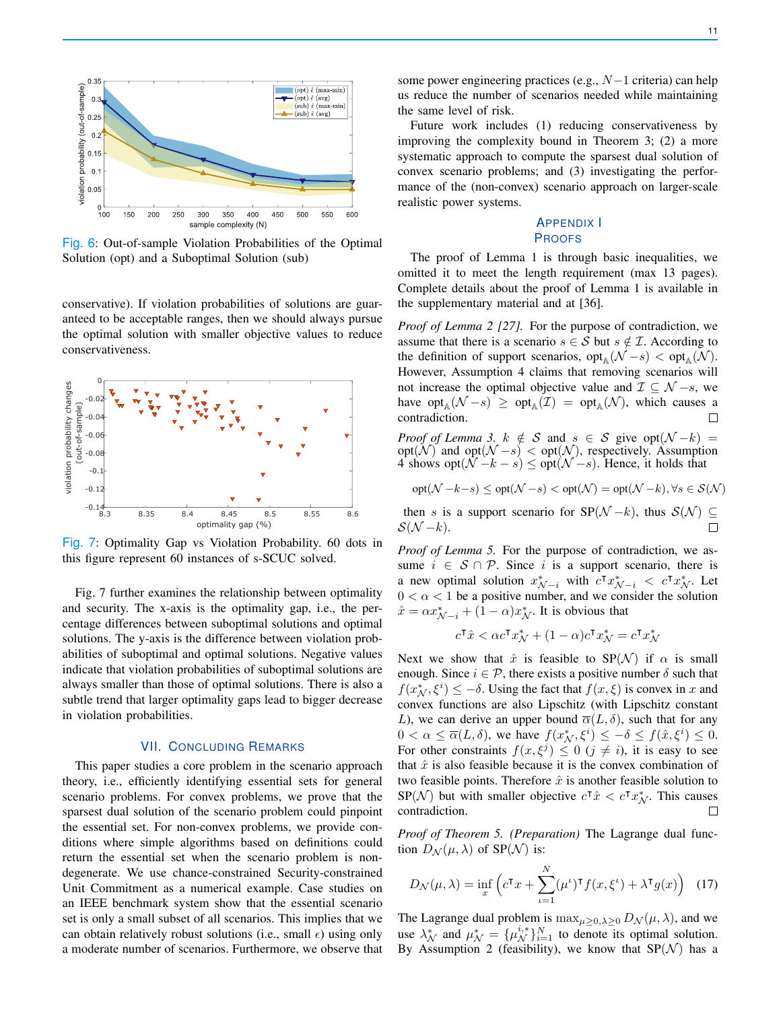

Fig. 6: Out-of-sample Violation Probabilities of the Optimal Solution (opt) and a Suboptimal Solution (sub)

conservative). If violation probabilities of solutions are guaranteed to be acceptable ranges, then we should always pursue the optimal solution with smaller objective values to reduce conservativeness.



Fig. 7: Optimality Gap vs Violation Probability. 60 dots in this figure represent 60 instances of s-SCUC solved.

Fig. 7 further examines the relationship between optimality and security. The x-axis is the optimality gap, i.e., the percentage differences between suboptimal solutions and optimal solutions. The y-axis is the difference between violation probabilities of suboptimal and optimal solutions. Negative values indicate that violation probabilities of suboptimal solutions are always smaller than those of optimal solutions. There is also a subtle trend that larger optimality gaps lead to bigger decrease in violation probabilities.

## VII. CONCLUDING REMARKS

This paper studies a core problem in the scenario approach theory, i.e., efficiently identifying essential sets for general scenario problems. For convex problems, we prove that the sparsest dual solution of the scenario problem could pinpoint the essential set. For non-convex problems, we provide conditions where simple algorithms based on definitions could return the essential set when the scenario problem is nondegenerate. We use chance-constrained Security-constrained Unit Commitment as a numerical example. Case studies on an IEEE benchmark system show that the essential scenario set is only a small subset of all scenarios. This implies that we can obtain relatively robust solutions (i.e., small  $\epsilon$ ) using only a moderate number of scenarios. Furthermore, we observe that

some power engineering practices (e.g.,  $N-1$  criteria) can help us reduce the number of scenarios needed while maintaining the same level of risk.

Future work includes (1) reducing conservativeness by improving the complexity bound in Theorem 3; (2) a more systematic approach to compute the sparsest dual solution of convex scenario problems; and (3) investigating the performance of the (non-convex) scenario approach on larger-scale realistic power systems.

# APPENDIX I PROOFS

The proof of Lemma 1 is through basic inequalities, we omitted it to meet the length requirement (max 13 pages). Complete details about the proof of Lemma 1 is available in the supplementary material and at [36].

*Proof of Lemma 2 [27].* For the purpose of contradiction, we assume that there is a scenario  $s \in S$  but  $s \notin \mathcal{I}$ . According to the definition of support scenarios,  $opt_A(\mathcal{N}-s) < opt_A(\mathcal{N})$ . However, Assumption 4 claims that removing scenarios will not increase the optimal objective value and  $\mathcal{I} \subseteq \mathcal{N} - s$ , we have  $opt_{\mathbb{A}}(\mathcal{N}-s) \geq opt_{\mathbb{A}}(\mathcal{I}) = opt_{\mathbb{A}}(\mathcal{N})$ , which causes a contradiction.  $\Box$ 

*Proof of Lemma 3.*  $k \notin S$  and  $s \in S$  give opt $(\mathcal{N} - k)$  = opt( $\mathcal{N}$ ) and opt $(\mathcal{N} - s) <$  opt $(\mathcal{N})$ , respectively. Assumption 4 shows opt $(\overline{\mathcal{N}} - k - s) \leq$  opt $(\mathcal{N} - s)$ . Hence, it holds that

$$
\mathrm{opt}(\mathcal{N}-k-s)\leq \mathrm{opt}(\mathcal{N}-s)<\mathrm{opt}(\mathcal{N})=\mathrm{opt}(\mathcal{N}-k), \forall s\in\mathcal{S}(\mathcal{N})
$$

then s is a support scenario for  $SP(\mathcal{N} - k)$ , thus  $S(\mathcal{N}) \subseteq$  $\mathcal{S}(\mathcal{N}-k).$  $\Box$ 

*Proof of Lemma 5.* For the purpose of contradiction, we assume  $i \in S \cap P$ . Since i is a support scenario, there is a new optimal solution  $x_{\mathcal{N}-i}^*$  with  $c^{\mathsf{T}} x_{\mathcal{N}-i}^* < c^{\mathsf{T}} x_{\mathcal{N}}^*$ . Let  $0 < \alpha < 1$  be a positive number, and we consider the solution  $\hat{x} = \alpha x_{\mathcal{N}-i}^* + (1 - \alpha)x_{\mathcal{N}}^*$ . It is obvious that

$$
c^{\mathsf{T}}\hat{x} < \alpha c^{\mathsf{T}}x_{\mathcal{N}}^* + (1-\alpha)c^{\mathsf{T}}x_{\mathcal{N}}^* = c^{\mathsf{T}}x_{\mathcal{N}}^*
$$

Next we show that  $\hat{x}$  is feasible to SP(N) if  $\alpha$  is small enough. Since  $i \in \mathcal{P}$ , there exists a positive number  $\delta$  such that  $f(x_N^*, \xi^i) \leq -\delta$ . Using the fact that  $f(x, \xi)$  is convex in x and convex functions are also Lipschitz (with Lipschitz constant L), we can derive an upper bound  $\overline{\alpha}(L,\delta)$ , such that for any  $0 < \alpha \leq \overline{\alpha}(L,\delta)$ , we have  $f(x_N^*,\xi^i) \leq -\delta \leq f(\hat{x},\xi^i) \leq 0$ . For other constraints  $f(x, \xi^j) \leq 0$   $(j \neq i)$ , it is easy to see that  $\hat{x}$  is also feasible because it is the convex combination of two feasible points. Therefore  $\hat{x}$  is another feasible solution to SP( $N$ ) but with smaller objective  $c^{\dagger}\hat{x} < c^{\dagger}x_N^*$ . This causes contradiction.

*Proof of Theorem 5. (Preparation)* The Lagrange dual function  $D_{\mathcal{N}}(\mu, \lambda)$  of SP( $\mathcal{N}$ ) is:

$$
D_{\mathcal{N}}(\mu,\lambda) = \inf_{x} \left( c^{\mathsf{T}} x + \sum_{\iota=1}^{N} (\mu^{\iota})^{\mathsf{T}} f(x,\xi^{\iota}) + \lambda^{\mathsf{T}} g(x) \right) \tag{17}
$$

The Lagrange dual problem is  $\max_{\mu \geq 0, \lambda \geq 0} D_{\mathcal{N}}(\mu, \lambda)$ , and we use  $\lambda_N^*$  and  $\mu_N^* = {\mu_N^{i,*}}_{i=1}^N$  to denote its optimal solution. By Assumption 2 (feasibility), we know that  $SP(N)$  has a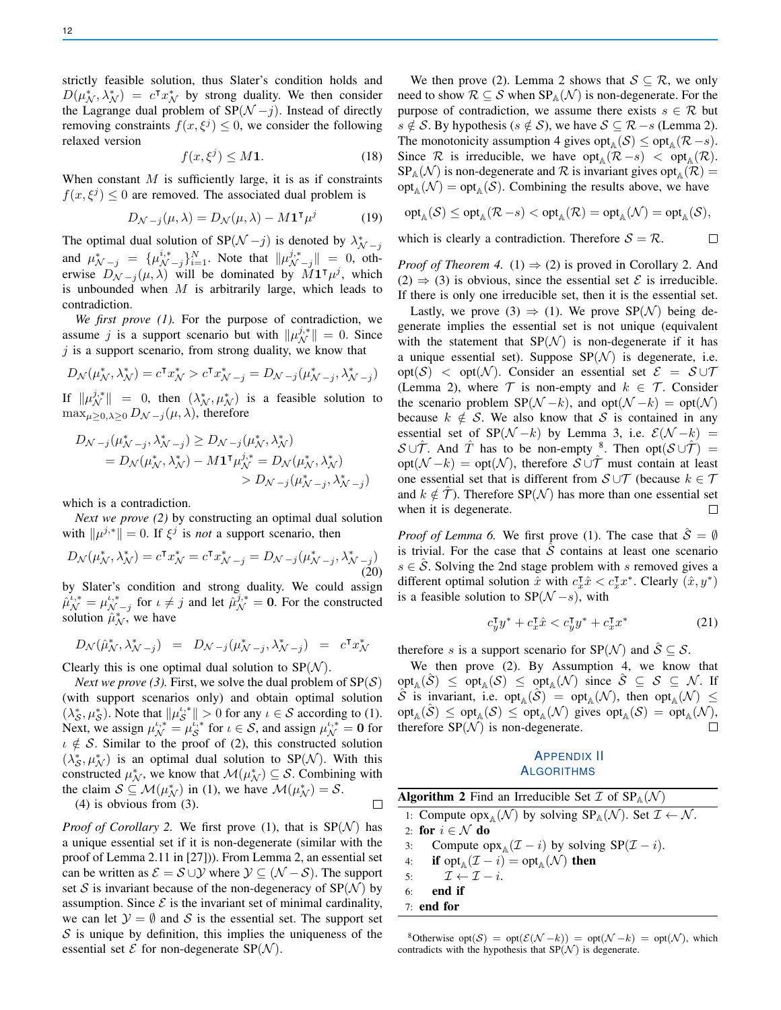strictly feasible solution, thus Slater's condition holds and  $D(\mu_{\mathcal{N}}^*, \lambda_{\mathcal{N}}^*) = c^{\mathsf{T}} x_{\mathcal{N}}^*$  by strong duality. We then consider the Lagrange dual problem of  $SP(N - j)$ . Instead of directly removing constraints  $f(x, \xi^j) \leq 0$ , we consider the following relaxed version

$$
f(x,\xi^j) \le M\mathbf{1}.\tag{18}
$$

When constant  $M$  is sufficiently large, it is as if constraints  $f(x,\xi^j) \leq 0$  are removed. The associated dual problem is

$$
D_{\mathcal{N}-j}(\mu,\lambda) = D_{\mathcal{N}}(\mu,\lambda) - M \mathbf{1}^{\mathsf{T}} \mu^{j}
$$
 (19)

The optimal dual solution of SP( $\mathcal{N}-j$ ) is denoted by  $\lambda_{\mathcal{N}-j}^*$ and  $\mu^*_{\mathcal{N}-j} = {\mu^{i,*}_{\mathcal{N}-j}}_{i=1}^N$ . Note that  $\|\mu^{j,*}_{\mathcal{N}-j}\| = 0$ , otherwise  $D_{\mathcal{N}-j}(\mu,\lambda)$  will be dominated by  $M\mathbf{1}^\intercal\mu^j$ , which is unbounded when  $M$  is arbitrarily large, which leads to contradiction.

*We first prove (1).* For the purpose of contradiction, we assume j is a support scenario but with  $||\mu_N^{j,*}|| = 0$ . Since  $j$  is a support scenario, from strong duality, we know that

$$
D_{\mathcal{N}}(\mu_{\mathcal{N}}^*,\lambda_{\mathcal{N}}^*)=c^\intercal x_{\mathcal{N}}^* > c^\intercal x_{\mathcal{N}-j}^* = D_{\mathcal{N}-j}(\mu_{\mathcal{N}-j}^*,\lambda_{\mathcal{N}-j}^*)
$$

If  $\|\mu_{\mathcal{N}}^{j,*}\| = 0$ , then  $(\lambda_{\mathcal{N}}^*, \mu_{\mathcal{N}}^*)$  is a feasible solution to  $\max_{\mu>0,\lambda>0} D_{\mathcal{N}-i}(\mu,\lambda)$ , therefore

$$
D_{\mathcal{N}-j}(\mu^*_{\mathcal{N}-j}, \lambda^*_{\mathcal{N}-j}) \ge D_{\mathcal{N}-j}(\mu^*_{\mathcal{N}}, \lambda^*_{\mathcal{N}})
$$
  
=  $D_{\mathcal{N}}(\mu^*_{\mathcal{N}}, \lambda^*_{\mathcal{N}}) - M \mathbf{1}^{\mathsf{T}} \mu^j_{\mathcal{N}} = D_{\mathcal{N}}(\mu^*_{\mathcal{N}}, \lambda^*_{\mathcal{N}})$   
>  $D_{\mathcal{N}-j}(\mu^*_{\mathcal{N}-j}, \lambda^*_{\mathcal{N}-j})$ 

which is a contradiction.

*Next we prove (2)* by constructing an optimal dual solution with  $\|\mu^{j,*}\| = 0$ . If  $\xi^j$  is *not* a support scenario, then

$$
D_{\mathcal{N}}(\mu_{\mathcal{N}}^*, \lambda_{\mathcal{N}}^*) = c^{\mathsf{T}} x_{\mathcal{N}}^* = c^{\mathsf{T}} x_{\mathcal{N}-j}^* = D_{\mathcal{N}-j}(\mu_{\mathcal{N}-j}^*, \lambda_{\mathcal{N}-j}^*)
$$
(20)

by Slater's condition and strong duality. We could assign  $\hat{\mu}_{\mathcal{N}}^{i,*} = \mu_{\mathcal{N}-j}^{i,*}$  for  $i \neq j$  and let  $\hat{\mu}_{\mathcal{N}}^{j,*} = 0$ . For the constructed solution  $\hat{\mu}_{\mathcal{N}}^*$ , we have

$$
D_{\mathcal{N}}(\hat{\mu}_{\mathcal{N}}^*, \lambda_{\mathcal{N}-j}^*) = D_{\mathcal{N}-j}(\mu_{\mathcal{N}-j}^*, \lambda_{\mathcal{N}-j}^*) = c^{\mathsf{T}} x_{\mathcal{N}}^*
$$

Clearly this is one optimal dual solution to  $SP(N)$ .

*Next we prove (3).* First, we solve the dual problem of  $SP(S)$ (with support scenarios only) and obtain optimal solution  $(\lambda_{\mathcal{S}}^*, \mu_{\mathcal{S}}^*)$ . Note that  $\|\mu_{\mathcal{S}}^{t,*}\| > 0$  for any  $\iota \in \mathcal{S}$  according to (1). Next, we assign  $\mu_{\mathcal{N}}^{\iota,*} = \mu_{\mathcal{S}}^{\iota,*}$  for  $\iota \in \mathcal{S}$ , and assign  $\mu_{\mathcal{N}}^{\iota,*} = 0$  for  $\iota \notin \mathcal{S}$ . Similar to the proof of (2), this constructed solution  $(\lambda_{\mathcal{S}}^*, \mu_{\mathcal{N}}^*)$  is an optimal dual solution to SP( $\mathcal{N}$ ). With this constructed  $\mu^*_{\mathcal{N}}$ , we know that  $\mathcal{M}(\mu^*_{\mathcal{N}}) \subseteq \mathcal{S}$ . Combining with the claim  $S \subseteq \mathcal{M}(\mu_{\mathcal{N}}^*)$  in (1), we have  $\mathcal{M}(\mu_{\mathcal{N}}^*) = S$ .  $\Box$ 

(4) is obvious from (3).

*Proof of Corollary 2.* We first prove (1), that is  $SP(N)$  has a unique essential set if it is non-degenerate (similar with the proof of Lemma 2.11 in [27])). From Lemma 2, an essential set can be written as  $\mathcal{E} = \mathcal{S} \cup \mathcal{Y}$  where  $\mathcal{Y} \subseteq (\mathcal{N} - \mathcal{S})$ . The support set S is invariant because of the non-degeneracy of  $SP(N)$  by assumption. Since  $\mathcal E$  is the invariant set of minimal cardinality, we can let  $\mathcal{Y} = \emptyset$  and S is the essential set. The support set  $S$  is unique by definition, this implies the uniqueness of the essential set  $\mathcal E$  for non-degenerate  $SP(N)$ .

We then prove (2). Lemma 2 shows that  $S \subseteq \mathcal{R}$ , we only need to show  $\mathcal{R} \subseteq \mathcal{S}$  when  $SP_{\mathbb{A}}(\mathcal{N})$  is non-degenerate. For the purpose of contradiction, we assume there exists  $s \in \mathcal{R}$  but s  $\notin$  S. By hypothesis (s  $\notin$  S), we have  $S \subseteq \mathcal{R} - s$  (Lemma 2). The monotonicity assumption 4 gives opt<sub>A</sub> $(S) \le$  opt<sub>A</sub> $(R - s)$ . Since R is irreducible, we have  $opt_{A}(\mathcal{R}-s) < opt_{A}(\mathcal{R})$ .  $SP_A(\mathcal{N})$  is non-degenerate and  $\mathcal R$  is invariant gives  $opt_A(\mathcal{R}) =$  $opt_A(\mathcal{N}) = opt_A(\mathcal{S})$ . Combining the results above, we have

$$
\operatorname{opt}_{\mathbb{A}}(\mathcal{S}) \leq \operatorname{opt}_{\mathbb{A}}(\mathcal{R} - s) < \operatorname{opt}_{\mathbb{A}}(\mathcal{R}) = \operatorname{opt}_{\mathbb{A}}(\mathcal{N}) = \operatorname{opt}_{\mathbb{A}}(\mathcal{S}),
$$

 $\Box$ 

which is clearly a contradiction. Therefore  $S = \mathcal{R}$ .

*Proof of Theorem 4.* (1)  $\Rightarrow$  (2) is proved in Corollary 2. And  $(2) \Rightarrow (3)$  is obvious, since the essential set  $\mathcal E$  is irreducible. If there is only one irreducible set, then it is the essential set.

Lastly, we prove (3)  $\Rightarrow$  (1). We prove SP(N) being degenerate implies the essential set is not unique (equivalent with the statement that  $SP(N)$  is non-degenerate if it has a unique essential set). Suppose  $SP(\mathcal{N})$  is degenerate, i.e. opt(S) < opt(N). Consider an essential set  $\mathcal{E} = \mathcal{S} \cup \mathcal{T}$ (Lemma 2), where  $\mathcal T$  is non-empty and  $k \in \mathcal T$ . Consider the scenario problem  $SP(\mathcal{N} - k)$ , and  $opt(\mathcal{N} - k) = opt(\mathcal{N})$ because  $k \notin S$ . We also know that S is contained in any essential set of SP( $N-k$ ) by Lemma 3, i.e.  $\mathcal{E}(N-k)$  =  $S \cup \hat{T}$ . And  $\hat{T}$  has to be non-empty <sup>8</sup>. Then  $opt(S \cup \hat{T}) =$ opt $(\mathcal{N} - k) = \text{opt}(\mathcal{N})$ , therefore  $\mathcal{S} \cup \hat{\mathcal{T}}$  must contain at least one essential set that is different from  $S \cup T$  (because  $k \in T$ and  $k \notin \mathcal{T}$ ). Therefore SP(N) has more than one essential set when it is degenerate.  $\Box$ 

*Proof of Lemma 6.* We first prove (1). The case that  $\hat{S} = \emptyset$ is trivial. For the case that  $S$  contains at least one scenario  $s \in \hat{\mathcal{S}}$ . Solving the 2nd stage problem with s removed gives a different optimal solution  $\hat{x}$  with  $c_x^{\mathsf{T}}\hat{x} < c_x^{\mathsf{T}}x^*$ . Clearly  $(\hat{x}, y^*)$ is a feasible solution to  $SP(N - s)$ , with

$$
c_y^\mathsf{T} y^* + c_x^\mathsf{T} \hat{x} < c_y^\mathsf{T} y^* + c_x^\mathsf{T} x^* \tag{21}
$$

therefore s is a support scenario for  $SP(\mathcal{N})$  and  $\hat{S} \subseteq \mathcal{S}$ .

We then prove (2). By Assumption 4, we know that  $\mathrm{opt}_{\mathbb{A}}(\hat{\mathcal{S}}) \leq \mathrm{opt}_{\mathbb{A}}(\mathcal{S}) \leq \mathrm{opt}_{\mathbb{A}}(\mathcal{N}) \ \mathrm{since} \ \hat{\mathcal{S}} \subseteq \mathcal{S} \subseteq \mathcal{N}$ . If  $\hat{S}$  is invariant, i.e. opt<sub>A</sub> $(\hat{S})$  = opt<sub>A</sub> $(\mathcal{N})$ , then opt<sub>A</sub> $(\mathcal{N})$   $\leq$  $\text{opt}_{\mathbb{A}}(\hat{S}) \leq \text{opt}_{\mathbb{A}}(\mathcal{S}) \leq \text{opt}_{\mathbb{A}}(\mathcal{N})$  gives  $\text{opt}_{\mathbb{A}}(\mathcal{S}) = \text{opt}_{\mathbb{A}}(\mathcal{N}),$ therefore  $SP(N)$  is non-degenerate.  $\Box$ 

# APPENDIX II **ALGORITHMS**

| <b>Algorithm 2</b> Find an Irreducible Set $\mathcal{I}$ of $SP_{\mathbb{A}}(\mathcal{N})$                  |  |  |  |  |  |  |
|-------------------------------------------------------------------------------------------------------------|--|--|--|--|--|--|
| 1: Compute opx <sub>4</sub> (N) by solving $SP_A(\mathcal{N})$ . Set $\mathcal{I} \leftarrow \mathcal{N}$ . |  |  |  |  |  |  |
| 2: for $i \in \mathcal{N}$ do                                                                               |  |  |  |  |  |  |
| 3: Compute $op_{A}(\mathcal{I} - i)$ by solving $SP(\mathcal{I} - i)$ .                                     |  |  |  |  |  |  |
| 4: if $\mathrm{opt}_{\mathbb{A}}(\mathcal{I} - i) = \mathrm{opt}_{\mathbb{A}}(\mathcal{N})$ then            |  |  |  |  |  |  |
| 5: $\mathcal{I} \leftarrow \mathcal{I} - i$ .                                                               |  |  |  |  |  |  |
| end if<br>6:                                                                                                |  |  |  |  |  |  |
| $7:$ end for                                                                                                |  |  |  |  |  |  |
|                                                                                                             |  |  |  |  |  |  |

8Otherwise opt(S) = opt( $\mathcal{E}(\mathcal{N} - k)$ ) = opt( $\mathcal{N} - k$ ) = opt( $\mathcal{N}$ ), which contradicts with the hypothesis that  $SP(\mathcal{N})$  is degenerate.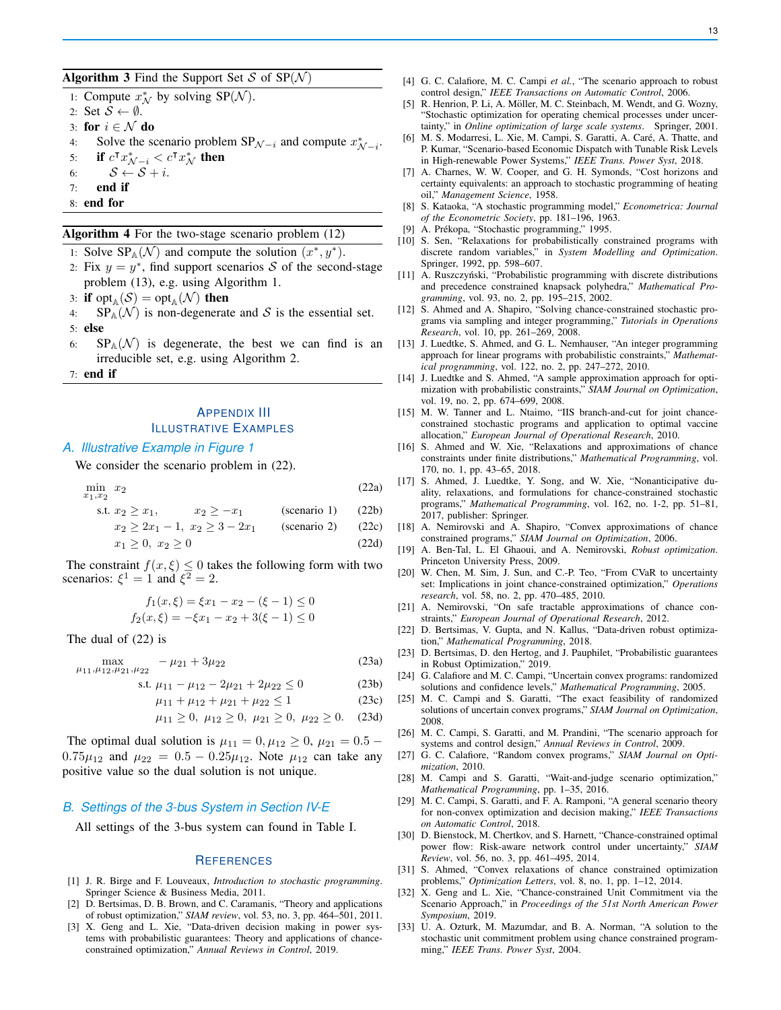Algorithm 3 Find the Support Set S of  $SP(N)$ 

1: Compute  $x^*_{\mathcal{N}}$  by solving SP( $\mathcal{N}$ ).

- 2: Set  $S \leftarrow \emptyset$ .
- 3: for  $i \in \mathcal{N}$  do
- 4: Solve the scenario problem  $SP_{\mathcal{N}-i}$  and compute  $x^*_{\mathcal{N}-i}$ .
- 5: if  $c^{\intercal} x^*_{\mathcal{N}-i} < c^{\intercal} x^*_{\mathcal{N}}$  then
- 6:  $S \leftarrow S + i$ .
- 7: end if
- 8: end for

#### Algorithm 4 For the two-stage scenario problem (12)

- 1: Solve  $SP_A(\mathcal{N})$  and compute the solution  $(x^*, y^*)$ .
- 2: Fix  $y = y^*$ , find support scenarios S of the second-stage problem (13), e.g. using Algorithm 1.
- 3: if  $\text{opt}_{\mathbb{A}}(\mathcal{S}) = \text{opt}_{\mathbb{A}}(\mathcal{N})$  then
- 4:  $SP_A(\mathcal{N})$  is non-degenerate and S is the essential set. 5: else
- 6:  $SP_A(\mathcal{N})$  is degenerate, the best we can find is an irreducible set, e.g. using Algorithm 2.
- 7: end if

# APPENDIX III ILLUSTRATIVE EXAMPLES

## *A. Illustrative Example in Figure 1*

We consider the scenario problem in  $(22)$ .

 $\min x_2$  $x_1,x_2$  $x_2$  (22a) s.t.  $x_2 \ge x_1$ ,  $x_2 \ge -x_1$  (scenario 1) (22b)

$$
x_2 \ge 2x_1 - 1
$$
,  $x_2 \ge 3 - 2x_1$  (scenario 2) (22c)

$$
x_1 \ge 0, \ x_2 \ge 0 \tag{22d}
$$

The constraint  $f(x, \xi) \leq 0$  takes the following form with two scenarios:  $\xi^1 = 1$  and  $\xi^2 = 2$ .

$$
f_1(x,\xi) = \xi x_1 - x_2 - (\xi - 1) \le 0
$$
  

$$
f_2(x,\xi) = -\xi x_1 - x_2 + 3(\xi - 1) \le 0
$$

The dual of (22) is

max  $\mu_{11}, \mu_{12}, \mu_{21}, \mu_{22}$  $-\mu_{21} + 3\mu_{22}$  (23a)

s.t. 
$$
\mu_{11} - \mu_{12} - 2\mu_{21} + 2\mu_{22} \le 0
$$
 (23b)

$$
\mu_{11} + \mu_{12} + \mu_{21} + \mu_{22} \le 1 \tag{23c}
$$

$$
\mu_{11} \geq 0, \ \mu_{12} \geq 0, \ \mu_{21} \geq 0, \ \mu_{22} \geq 0.
$$
 (23d)

The optimal dual solution is  $\mu_{11} = 0, \mu_{12} \ge 0, \mu_{21} = 0.5$  –  $0.75\mu_{12}$  and  $\mu_{22} = 0.5 - 0.25\mu_{12}$ . Note  $\mu_{12}$  can take any positive value so the dual solution is not unique.

#### *B. Settings of the 3-bus System in Section IV-E*

All settings of the 3-bus system can found in Table I.

#### **REFERENCES**

- [1] J. R. Birge and F. Louveaux, *Introduction to stochastic programming*. Springer Science & Business Media, 2011.
- [2] D. Bertsimas, D. B. Brown, and C. Caramanis, "Theory and applications of robust optimization," *SIAM review*, vol. 53, no. 3, pp. 464–501, 2011.
- [3] X. Geng and L. Xie, "Data-driven decision making in power systems with probabilistic guarantees: Theory and applications of chanceconstrained optimization," *Annual Reviews in Control*, 2019.
- [4] G. C. Calafiore, M. C. Campi *et al.*, "The scenario approach to robust control design," *IEEE Transactions on Automatic Control*, 2006.
- [5] R. Henrion, P. Li, A. Möller, M. C. Steinbach, M. Wendt, and G. Wozny, "Stochastic optimization for operating chemical processes under uncertainty," in *Online optimization of large scale systems*. Springer, 2001.
- [6] M. S. Modarresi, L. Xie, M. Campi, S. Garatti, A. Caré, A. Thatte, and P. Kumar, "Scenario-based Economic Dispatch with Tunable Risk Levels in High-renewable Power Systems," *IEEE Trans. Power Syst*, 2018.
- [7] A. Charnes, W. W. Cooper, and G. H. Symonds, "Cost horizons and certainty equivalents: an approach to stochastic programming of heating oil," *Management Science*, 1958.
- [8] S. Kataoka, "A stochastic programming model," *Econometrica: Journal of the Econometric Society*, pp. 181–196, 1963.
- [9] A. Prékopa, "Stochastic programming," 1995.
- [10] S. Sen, "Relaxations for probabilistically constrained programs with discrete random variables," in *System Modelling and Optimization*. Springer, 1992, pp. 598–607.
- [11] A. Ruszczyński, "Probabilistic programming with discrete distributions and precedence constrained knapsack polyhedra," *Mathematical Programming*, vol. 93, no. 2, pp. 195–215, 2002.
- [12] S. Ahmed and A. Shapiro, "Solving chance-constrained stochastic programs via sampling and integer programming," *Tutorials in Operations Research*, vol. 10, pp. 261–269, 2008.
- [13] J. Luedtke, S. Ahmed, and G. L. Nemhauser, "An integer programming approach for linear programs with probabilistic constraints," *Mathematical programming*, vol. 122, no. 2, pp. 247–272, 2010.
- [14] J. Luedtke and S. Ahmed, "A sample approximation approach for optimization with probabilistic constraints," *SIAM Journal on Optimization*, vol. 19, no. 2, pp. 674–699, 2008.
- [15] M. W. Tanner and L. Ntaimo, "IIS branch-and-cut for joint chanceconstrained stochastic programs and application to optimal vaccine allocation," *European Journal of Operational Research*, 2010.
- [16] S. Ahmed and W. Xie, "Relaxations and approximations of chance constraints under finite distributions," *Mathematical Programming*, vol. 170, no. 1, pp. 43–65, 2018.
- [17] S. Ahmed, J. Luedtke, Y. Song, and W. Xie, "Nonanticipative duality, relaxations, and formulations for chance-constrained stochastic programs," *Mathematical Programming*, vol. 162, no. 1-2, pp. 51–81, 2017, publisher: Springer.
- [18] A. Nemirovski and A. Shapiro, "Convex approximations of chance constrained programs," *SIAM Journal on Optimization*, 2006.
- [19] A. Ben-Tal, L. El Ghaoui, and A. Nemirovski, *Robust optimization*. Princeton University Press, 2009.
- [20] W. Chen, M. Sim, J. Sun, and C.-P. Teo, "From CVaR to uncertainty set: Implications in joint chance-constrained optimization," *Operations research*, vol. 58, no. 2, pp. 470–485, 2010.
- [21] A. Nemirovski, "On safe tractable approximations of chance constraints," *European Journal of Operational Research*, 2012.
- [22] D. Bertsimas, V. Gupta, and N. Kallus, "Data-driven robust optimization," *Mathematical Programming*, 2018.
- [23] D. Bertsimas, D. den Hertog, and J. Pauphilet, "Probabilistic guarantees in Robust Optimization," 2019.
- [24] G. Calafiore and M. C. Campi, "Uncertain convex programs: randomized solutions and confidence levels," *Mathematical Programming*, 2005.
- [25] M. C. Campi and S. Garatti, "The exact feasibility of randomized solutions of uncertain convex programs," *SIAM Journal on Optimization*, 2008.
- [26] M. C. Campi, S. Garatti, and M. Prandini, "The scenario approach for systems and control design," *Annual Reviews in Control*, 2009.
- [27] G. C. Calafiore, "Random convex programs," *SIAM Journal on Optimization*, 2010.
- [28] M. Campi and S. Garatti, "Wait-and-judge scenario optimization," *Mathematical Programming*, pp. 1–35, 2016.
- [29] M. C. Campi, S. Garatti, and F. A. Ramponi, "A general scenario theory for non-convex optimization and decision making," *IEEE Transactions on Automatic Control*, 2018.
- [30] D. Bienstock, M. Chertkov, and S. Harnett, "Chance-constrained optimal power flow: Risk-aware network control under uncertainty," *SIAM Review*, vol. 56, no. 3, pp. 461–495, 2014.
- [31] S. Ahmed, "Convex relaxations of chance constrained optimization problems," *Optimization Letters*, vol. 8, no. 1, pp. 1–12, 2014.
- [32] X. Geng and L. Xie, "Chance-constrained Unit Commitment via the Scenario Approach," in *Proceedings of the 51st North American Power Symposium*, 2019.
- [33] U. A. Ozturk, M. Mazumdar, and B. A. Norman, "A solution to the stochastic unit commitment problem using chance constrained programming," *IEEE Trans. Power Syst*, 2004.